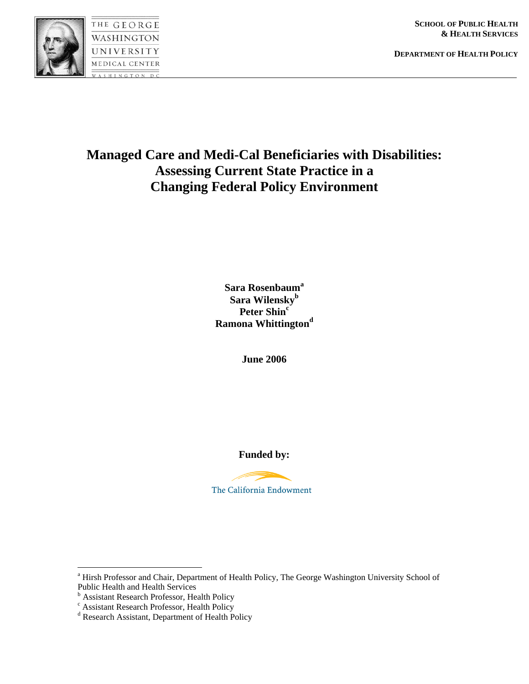



**SCHOOL OF PUBLIC HEALTH & HEALTH SERVICES**

**DEPARTMENT OF HEALTH POLICY**

# **Managed Care and Medi-Cal Beneficiaries with Disabilities: Assessing Current State Practice in a Changing Federal Policy Environment**

**Sara Rosenbaum<sup>a</sup> Sara Wilenskyb**  Peter Shin<sup>c</sup> **Ramona Whittington<sup>d</sup>**

**June 2006** 

**Funded by:** 



 $\overline{a}$ 

<sup>&</sup>lt;sup>a</sup> Hirsh Professor and Chair, Department of Health Policy, The George Washington University School of Public Health and Health Services

<sup>&</sup>lt;sup>b</sup> Assistant Research Professor, Health Policy

<sup>&</sup>lt;sup>c</sup> Assistant Research Professor, Health Policy

<sup>&</sup>lt;sup>d</sup> Research Assistant, Department of Health Policy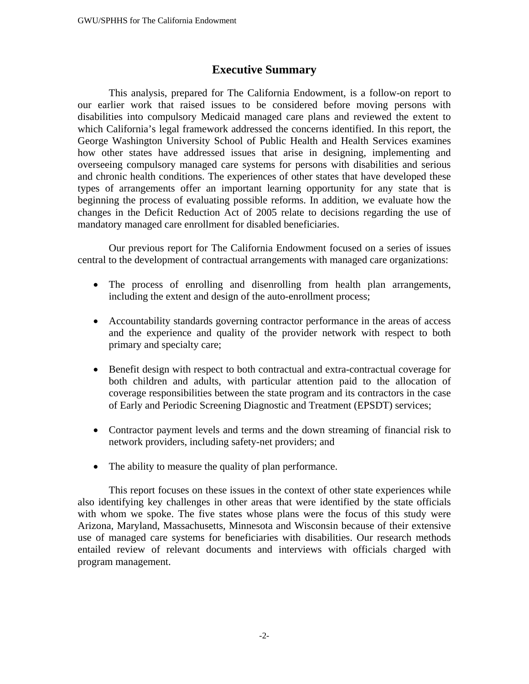## **Executive Summary**

This analysis, prepared for The California Endowment, is a follow-on report to our earlier work that raised issues to be considered before moving persons with disabilities into compulsory Medicaid managed care plans and reviewed the extent to which California's legal framework addressed the concerns identified. In this report, the George Washington University School of Public Health and Health Services examines how other states have addressed issues that arise in designing, implementing and overseeing compulsory managed care systems for persons with disabilities and serious and chronic health conditions. The experiences of other states that have developed these types of arrangements offer an important learning opportunity for any state that is beginning the process of evaluating possible reforms. In addition, we evaluate how the changes in the Deficit Reduction Act of 2005 relate to decisions regarding the use of mandatory managed care enrollment for disabled beneficiaries.

Our previous report for The California Endowment focused on a series of issues central to the development of contractual arrangements with managed care organizations:

- The process of enrolling and disenrolling from health plan arrangements, including the extent and design of the auto-enrollment process;
- Accountability standards governing contractor performance in the areas of access and the experience and quality of the provider network with respect to both primary and specialty care;
- Benefit design with respect to both contractual and extra-contractual coverage for both children and adults, with particular attention paid to the allocation of coverage responsibilities between the state program and its contractors in the case of Early and Periodic Screening Diagnostic and Treatment (EPSDT) services;
- Contractor payment levels and terms and the down streaming of financial risk to network providers, including safety-net providers; and
- The ability to measure the quality of plan performance.

This report focuses on these issues in the context of other state experiences while also identifying key challenges in other areas that were identified by the state officials with whom we spoke. The five states whose plans were the focus of this study were Arizona, Maryland, Massachusetts, Minnesota and Wisconsin because of their extensive use of managed care systems for beneficiaries with disabilities. Our research methods entailed review of relevant documents and interviews with officials charged with program management.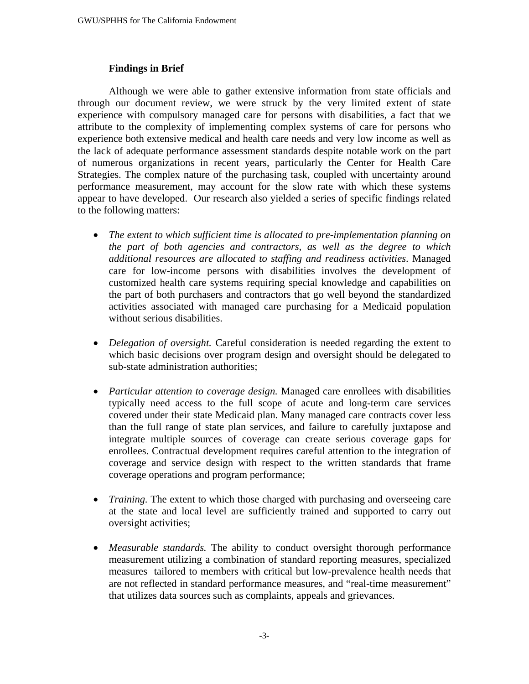#### **Findings in Brief**

Although we were able to gather extensive information from state officials and through our document review, we were struck by the very limited extent of state experience with compulsory managed care for persons with disabilities, a fact that we attribute to the complexity of implementing complex systems of care for persons who experience both extensive medical and health care needs and very low income as well as the lack of adequate performance assessment standards despite notable work on the part of numerous organizations in recent years, particularly the Center for Health Care Strategies. The complex nature of the purchasing task, coupled with uncertainty around performance measurement, may account for the slow rate with which these systems appear to have developed. Our research also yielded a series of specific findings related to the following matters:

- *The extent to which sufficient time is allocated to pre-implementation planning on the part of both agencies and contractors, as well as the degree to which additional resources are allocated to staffing and readiness activities*. Managed care for low-income persons with disabilities involves the development of customized health care systems requiring special knowledge and capabilities on the part of both purchasers and contractors that go well beyond the standardized activities associated with managed care purchasing for a Medicaid population without serious disabilities.
- *Delegation of oversight*. Careful consideration is needed regarding the extent to which basic decisions over program design and oversight should be delegated to sub-state administration authorities;
- *Particular attention to coverage design.* Managed care enrollees with disabilities typically need access to the full scope of acute and long-term care services covered under their state Medicaid plan. Many managed care contracts cover less than the full range of state plan services, and failure to carefully juxtapose and integrate multiple sources of coverage can create serious coverage gaps for enrollees. Contractual development requires careful attention to the integration of coverage and service design with respect to the written standards that frame coverage operations and program performance;
- *Training*. The extent to which those charged with purchasing and overseeing care at the state and local level are sufficiently trained and supported to carry out oversight activities;
- *Measurable standards.* The ability to conduct oversight thorough performance measurement utilizing a combination of standard reporting measures, specialized measures tailored to members with critical but low-prevalence health needs that are not reflected in standard performance measures, and "real-time measurement" that utilizes data sources such as complaints, appeals and grievances.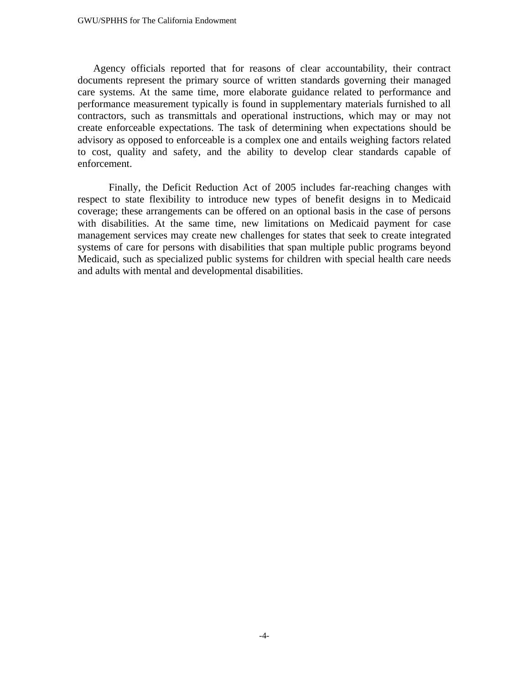Agency officials reported that for reasons of clear accountability, their contract documents represent the primary source of written standards governing their managed care systems. At the same time, more elaborate guidance related to performance and performance measurement typically is found in supplementary materials furnished to all contractors, such as transmittals and operational instructions, which may or may not create enforceable expectations. The task of determining when expectations should be advisory as opposed to enforceable is a complex one and entails weighing factors related to cost, quality and safety, and the ability to develop clear standards capable of enforcement.

Finally, the Deficit Reduction Act of 2005 includes far-reaching changes with respect to state flexibility to introduce new types of benefit designs in to Medicaid coverage; these arrangements can be offered on an optional basis in the case of persons with disabilities. At the same time, new limitations on Medicaid payment for case management services may create new challenges for states that seek to create integrated systems of care for persons with disabilities that span multiple public programs beyond Medicaid, such as specialized public systems for children with special health care needs and adults with mental and developmental disabilities.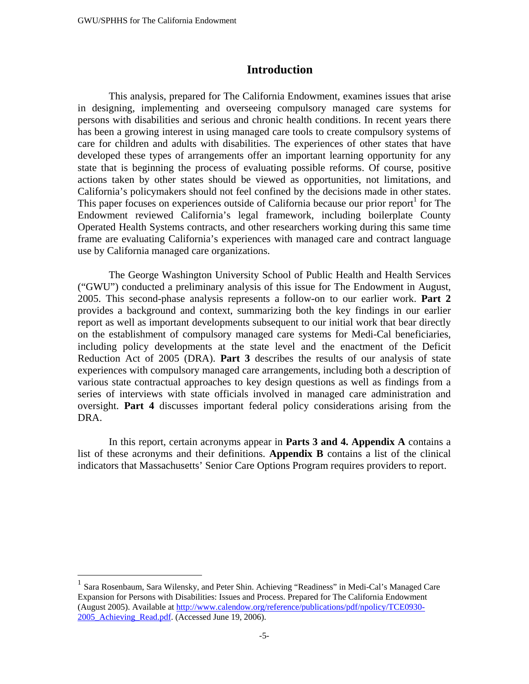## **Introduction**

This analysis, prepared for The California Endowment, examines issues that arise in designing, implementing and overseeing compulsory managed care systems for persons with disabilities and serious and chronic health conditions. In recent years there has been a growing interest in using managed care tools to create compulsory systems of care for children and adults with disabilities. The experiences of other states that have developed these types of arrangements offer an important learning opportunity for any state that is beginning the process of evaluating possible reforms. Of course, positive actions taken by other states should be viewed as opportunities, not limitations, and California's policymakers should not feel confined by the decisions made in other states. This paper focuses on experiences outside of California because our prior report<sup>1</sup> for The Endowment reviewed California's legal framework, including boilerplate County Operated Health Systems contracts, and other researchers working during this same time frame are evaluating California's experiences with managed care and contract language use by California managed care organizations.

The George Washington University School of Public Health and Health Services ("GWU") conducted a preliminary analysis of this issue for The Endowment in August, 2005. This second-phase analysis represents a follow-on to our earlier work. **Part 2**  provides a background and context, summarizing both the key findings in our earlier report as well as important developments subsequent to our initial work that bear directly on the establishment of compulsory managed care systems for Medi-Cal beneficiaries, including policy developments at the state level and the enactment of the Deficit Reduction Act of 2005 (DRA). **Part 3** describes the results of our analysis of state experiences with compulsory managed care arrangements, including both a description of various state contractual approaches to key design questions as well as findings from a series of interviews with state officials involved in managed care administration and oversight. **Part 4** discusses important federal policy considerations arising from the DRA.

 In this report, certain acronyms appear in **Parts 3 and 4. Appendix A** contains a list of these acronyms and their definitions. **Appendix B** contains a list of the clinical indicators that Massachusetts' Senior Care Options Program requires providers to report.

 $\overline{a}$ 

<sup>&</sup>lt;sup>1</sup> Sara Rosenbaum, Sara Wilensky, and Peter Shin. Achieving "Readiness" in Medi-Cal's Managed Care Expansion for Persons with Disabilities: Issues and Process. Prepared for The California Endowment (August 2005). Available at http://www.calendow.org/reference/publications/pdf/npolicy/TCE0930- 2005 Achieving Read.pdf. (Accessed June 19, 2006).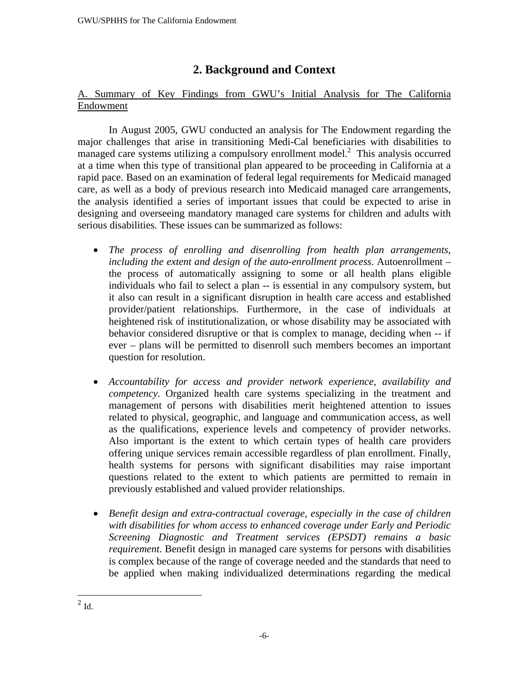# **2. Background and Context**

## A. Summary of Key Findings from GWU's Initial Analysis for The California Endowment

 In August 2005, GWU conducted an analysis for The Endowment regarding the major challenges that arise in transitioning Medi-Cal beneficiaries with disabilities to managed care systems utilizing a compulsory enrollment model.<sup>2</sup> This analysis occurred at a time when this type of transitional plan appeared to be proceeding in California at a rapid pace. Based on an examination of federal legal requirements for Medicaid managed care, as well as a body of previous research into Medicaid managed care arrangements, the analysis identified a series of important issues that could be expected to arise in designing and overseeing mandatory managed care systems for children and adults with serious disabilities. These issues can be summarized as follows:

- *The process of enrolling and disenrolling from health plan arrangements, including the extent and design of the auto-enrollment process*. Autoenrollment – the process of automatically assigning to some or all health plans eligible individuals who fail to select a plan -- is essential in any compulsory system, but it also can result in a significant disruption in health care access and established provider/patient relationships. Furthermore, in the case of individuals at heightened risk of institutionalization, or whose disability may be associated with behavior considered disruptive or that is complex to manage, deciding when -- if ever – plans will be permitted to disenroll such members becomes an important question for resolution.
- *Accountability for access and provider network experience, availability and competency.* Organized health care systems specializing in the treatment and management of persons with disabilities merit heightened attention to issues related to physical, geographic, and language and communication access, as well as the qualifications, experience levels and competency of provider networks. Also important is the extent to which certain types of health care providers offering unique services remain accessible regardless of plan enrollment. Finally, health systems for persons with significant disabilities may raise important questions related to the extent to which patients are permitted to remain in previously established and valued provider relationships.
- *Benefit design and extra-contractual coverage, especially in the case of children with disabilities for whom access to enhanced coverage under Early and Periodic Screening Diagnostic and Treatment services (EPSDT) remains a basic requirement.* Benefit design in managed care systems for persons with disabilities is complex because of the range of coverage needed and the standards that need to be applied when making individualized determinations regarding the medical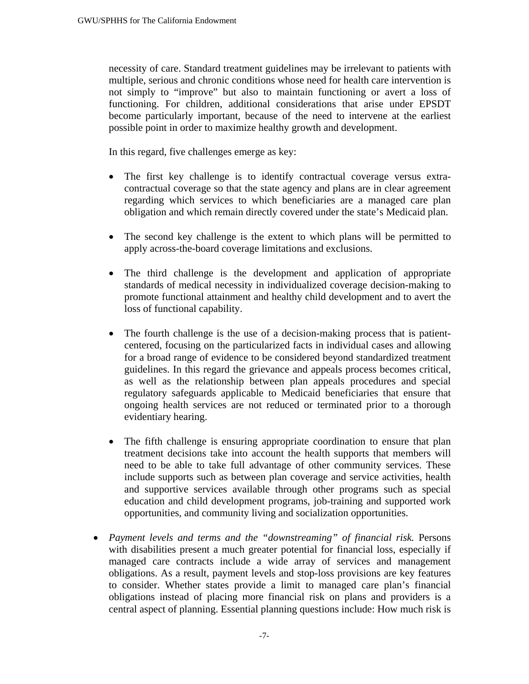necessity of care. Standard treatment guidelines may be irrelevant to patients with multiple, serious and chronic conditions whose need for health care intervention is not simply to "improve" but also to maintain functioning or avert a loss of functioning. For children, additional considerations that arise under EPSDT become particularly important, because of the need to intervene at the earliest possible point in order to maximize healthy growth and development.

In this regard, five challenges emerge as key:

- The first key challenge is to identify contractual coverage versus extracontractual coverage so that the state agency and plans are in clear agreement regarding which services to which beneficiaries are a managed care plan obligation and which remain directly covered under the state's Medicaid plan.
- The second key challenge is the extent to which plans will be permitted to apply across-the-board coverage limitations and exclusions.
- The third challenge is the development and application of appropriate standards of medical necessity in individualized coverage decision-making to promote functional attainment and healthy child development and to avert the loss of functional capability.
- The fourth challenge is the use of a decision-making process that is patientcentered, focusing on the particularized facts in individual cases and allowing for a broad range of evidence to be considered beyond standardized treatment guidelines. In this regard the grievance and appeals process becomes critical, as well as the relationship between plan appeals procedures and special regulatory safeguards applicable to Medicaid beneficiaries that ensure that ongoing health services are not reduced or terminated prior to a thorough evidentiary hearing.
- The fifth challenge is ensuring appropriate coordination to ensure that plan treatment decisions take into account the health supports that members will need to be able to take full advantage of other community services. These include supports such as between plan coverage and service activities, health and supportive services available through other programs such as special education and child development programs, job-training and supported work opportunities, and community living and socialization opportunities.
- *Payment levels and terms and the "downstreaming" of financial risk.* Persons with disabilities present a much greater potential for financial loss, especially if managed care contracts include a wide array of services and management obligations. As a result, payment levels and stop-loss provisions are key features to consider. Whether states provide a limit to managed care plan's financial obligations instead of placing more financial risk on plans and providers is a central aspect of planning. Essential planning questions include: How much risk is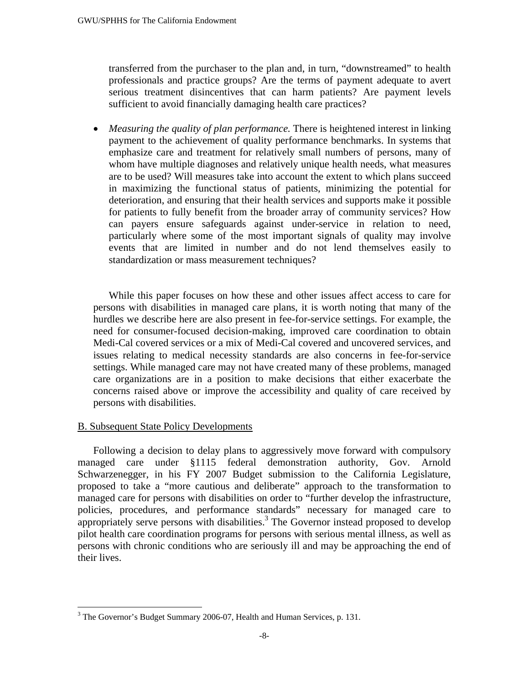transferred from the purchaser to the plan and, in turn, "downstreamed" to health professionals and practice groups? Are the terms of payment adequate to avert serious treatment disincentives that can harm patients? Are payment levels sufficient to avoid financially damaging health care practices?

• *Measuring the quality of plan performance*. There is heightened interest in linking payment to the achievement of quality performance benchmarks. In systems that emphasize care and treatment for relatively small numbers of persons, many of whom have multiple diagnoses and relatively unique health needs, what measures are to be used? Will measures take into account the extent to which plans succeed in maximizing the functional status of patients, minimizing the potential for deterioration, and ensuring that their health services and supports make it possible for patients to fully benefit from the broader array of community services? How can payers ensure safeguards against under-service in relation to need, particularly where some of the most important signals of quality may involve events that are limited in number and do not lend themselves easily to standardization or mass measurement techniques?

While this paper focuses on how these and other issues affect access to care for persons with disabilities in managed care plans, it is worth noting that many of the hurdles we describe here are also present in fee-for-service settings. For example, the need for consumer-focused decision-making, improved care coordination to obtain Medi-Cal covered services or a mix of Medi-Cal covered and uncovered services, and issues relating to medical necessity standards are also concerns in fee-for-service settings. While managed care may not have created many of these problems, managed care organizations are in a position to make decisions that either exacerbate the concerns raised above or improve the accessibility and quality of care received by persons with disabilities.

#### B. Subsequent State Policy Developments

<u>.</u>

Following a decision to delay plans to aggressively move forward with compulsory managed care under §1115 federal demonstration authority, Gov. Arnold Schwarzenegger, in his FY 2007 Budget submission to the California Legislature, proposed to take a "more cautious and deliberate" approach to the transformation to managed care for persons with disabilities on order to "further develop the infrastructure, policies, procedures, and performance standards" necessary for managed care to appropriately serve persons with disabilities.<sup>3</sup> The Governor instead proposed to develop pilot health care coordination programs for persons with serious mental illness, as well as persons with chronic conditions who are seriously ill and may be approaching the end of their lives.

 $3$  The Governor's Budget Summary 2006-07, Health and Human Services, p. 131.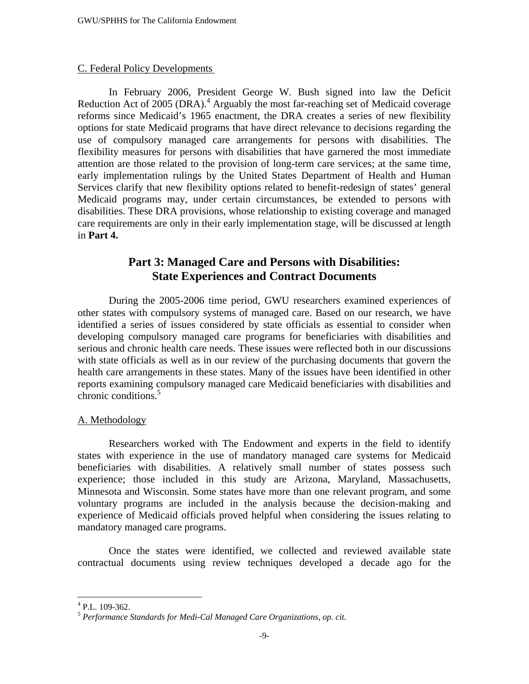#### C. Federal Policy Developments

In February 2006, President George W. Bush signed into law the Deficit Reduction Act of 2005 (DRA).<sup>4</sup> Arguably the most far-reaching set of Medicaid coverage reforms since Medicaid's 1965 enactment, the DRA creates a series of new flexibility options for state Medicaid programs that have direct relevance to decisions regarding the use of compulsory managed care arrangements for persons with disabilities. The flexibility measures for persons with disabilities that have garnered the most immediate attention are those related to the provision of long-term care services; at the same time, early implementation rulings by the United States Department of Health and Human Services clarify that new flexibility options related to benefit-redesign of states' general Medicaid programs may, under certain circumstances, be extended to persons with disabilities. These DRA provisions, whose relationship to existing coverage and managed care requirements are only in their early implementation stage, will be discussed at length in **Part 4.** 

## **Part 3: Managed Care and Persons with Disabilities: State Experiences and Contract Documents**

During the 2005-2006 time period, GWU researchers examined experiences of other states with compulsory systems of managed care. Based on our research, we have identified a series of issues considered by state officials as essential to consider when developing compulsory managed care programs for beneficiaries with disabilities and serious and chronic health care needs. These issues were reflected both in our discussions with state officials as well as in our review of the purchasing documents that govern the health care arrangements in these states. Many of the issues have been identified in other reports examining compulsory managed care Medicaid beneficiaries with disabilities and chronic conditions.<sup>5</sup>

#### A. Methodology

Researchers worked with The Endowment and experts in the field to identify states with experience in the use of mandatory managed care systems for Medicaid beneficiaries with disabilities. A relatively small number of states possess such experience; those included in this study are Arizona, Maryland, Massachusetts, Minnesota and Wisconsin. Some states have more than one relevant program, and some voluntary programs are included in the analysis because the decision-making and experience of Medicaid officials proved helpful when considering the issues relating to mandatory managed care programs.

Once the states were identified, we collected and reviewed available state contractual documents using review techniques developed a decade ago for the

 4 P.L. 109-362.

<sup>5</sup> *Performance Standards for Medi-Cal Managed Care Organizations, op. cit.*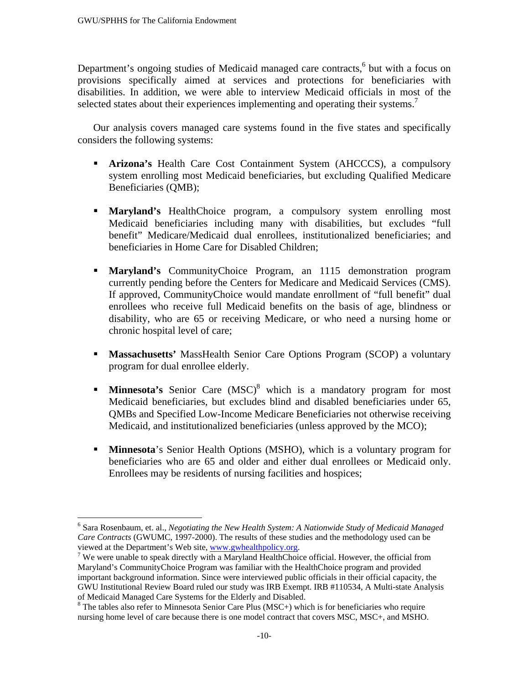Department's ongoing studies of Medicaid managed care contracts,<sup>6</sup> but with a focus on provisions specifically aimed at services and protections for beneficiaries with disabilities. In addition, we were able to interview Medicaid officials in most of the selected states about their experiences implementing and operating their systems.<sup>7</sup>

Our analysis covers managed care systems found in the five states and specifically considers the following systems:

- **Arizona's** Health Care Cost Containment System (AHCCCS), a compulsory system enrolling most Medicaid beneficiaries, but excluding Qualified Medicare Beneficiaries (QMB);
- **Maryland's** HealthChoice program, a compulsory system enrolling most Medicaid beneficiaries including many with disabilities, but excludes "full benefit" Medicare/Medicaid dual enrollees, institutionalized beneficiaries; and beneficiaries in Home Care for Disabled Children;
- **Maryland's** CommunityChoice Program, an 1115 demonstration program currently pending before the Centers for Medicare and Medicaid Services (CMS). If approved, CommunityChoice would mandate enrollment of "full benefit" dual enrollees who receive full Medicaid benefits on the basis of age, blindness or disability, who are 65 or receiving Medicare, or who need a nursing home or chronic hospital level of care;
- **Massachusetts'** MassHealth Senior Care Options Program (SCOP) a voluntary program for dual enrollee elderly.
- **Minnesota's** Senior Care (MSC)<sup>8</sup> which is a mandatory program for most Medicaid beneficiaries, but excludes blind and disabled beneficiaries under 65, QMBs and Specified Low-Income Medicare Beneficiaries not otherwise receiving Medicaid, and institutionalized beneficiaries (unless approved by the MCO);
- **Minnesota**'s Senior Health Options (MSHO), which is a voluntary program for beneficiaries who are 65 and older and either dual enrollees or Medicaid only. Enrollees may be residents of nursing facilities and hospices;

<sup>1</sup> 6 Sara Rosenbaum, et. al., *Negotiating the New Health System: A Nationwide Study of Medicaid Managed Care Contracts* (GWUMC, 1997-2000). The results of these studies and the methodology used can be viewed at the Department's Web site, www.gwhealthpolicy.org. 7

<sup>&</sup>lt;sup>7</sup> We were unable to speak directly with a Maryland HealthChoice official. However, the official from Maryland's CommunityChoice Program was familiar with the HealthChoice program and provided important background information. Since were interviewed public officials in their official capacity, the GWU Institutional Review Board ruled our study was IRB Exempt. IRB #110534, A Multi-state Analysis of Medicaid Managed Care Systems for the Elderly and Disabled.

 $8$  The tables also refer to Minnesota Senior Care Plus (MSC+) which is for beneficiaries who require nursing home level of care because there is one model contract that covers MSC, MSC+, and MSHO.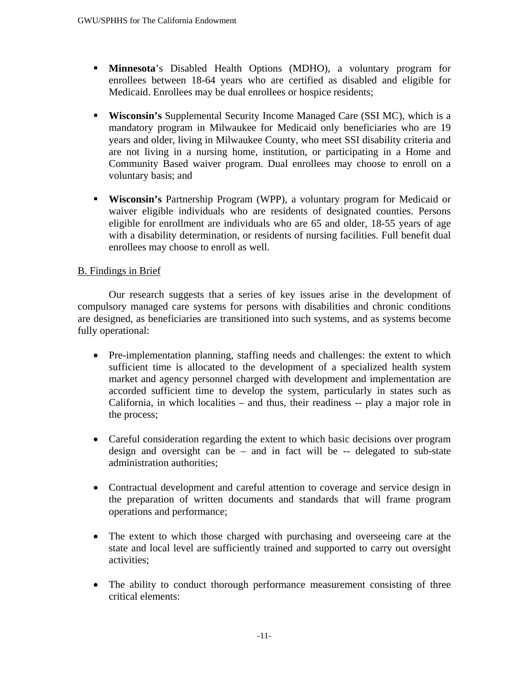- **Minnesota**'s Disabled Health Options (MDHO), a voluntary program for enrollees between 18-64 years who are certified as disabled and eligible for Medicaid. Enrollees may be dual enrollees or hospice residents;
- **Wisconsin's** Supplemental Security Income Managed Care (SSI MC), which is a mandatory program in Milwaukee for Medicaid only beneficiaries who are 19 years and older, living in Milwaukee County, who meet SSI disability criteria and are not living in a nursing home, institution, or participating in a Home and Community Based waiver program. Dual enrollees may choose to enroll on a voluntary basis; and
- **Wisconsin's** Partnership Program (WPP), a voluntary program for Medicaid or waiver eligible individuals who are residents of designated counties. Persons eligible for enrollment are individuals who are 65 and older, 18-55 years of age with a disability determination, or residents of nursing facilities. Full benefit dual enrollees may choose to enroll as well.

## B. Findings in Brief

Our research suggests that a series of key issues arise in the development of compulsory managed care systems for persons with disabilities and chronic conditions are designed, as beneficiaries are transitioned into such systems, and as systems become fully operational:

- Pre-implementation planning, staffing needs and challenges: the extent to which sufficient time is allocated to the development of a specialized health system market and agency personnel charged with development and implementation are accorded sufficient time to develop the system, particularly in states such as California, in which localities – and thus, their readiness -- play a major role in the process;
- Careful consideration regarding the extent to which basic decisions over program design and oversight can be – and in fact will be -- delegated to sub-state administration authorities;
- Contractual development and careful attention to coverage and service design in the preparation of written documents and standards that will frame program operations and performance;
- The extent to which those charged with purchasing and overseeing care at the state and local level are sufficiently trained and supported to carry out oversight activities;
- The ability to conduct thorough performance measurement consisting of three critical elements: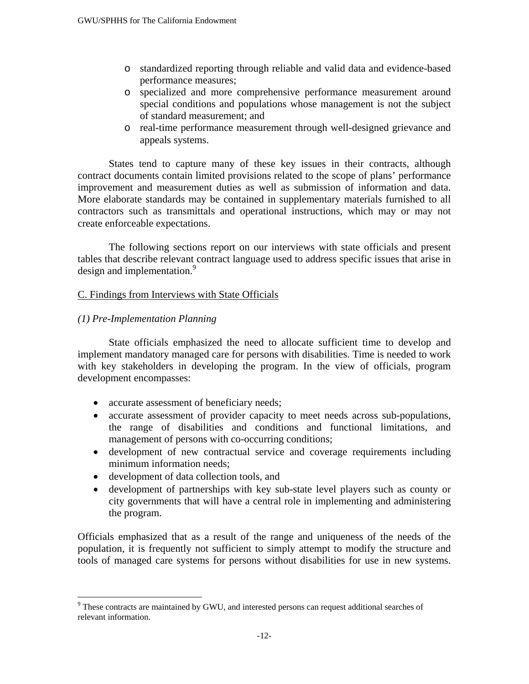- o standardized reporting through reliable and valid data and evidence-based performance measures;
- o specialized and more comprehensive performance measurement around special conditions and populations whose management is not the subject of standard measurement; and
- o real-time performance measurement through well-designed grievance and appeals systems.

States tend to capture many of these key issues in their contracts, although contract documents contain limited provisions related to the scope of plans' performance improvement and measurement duties as well as submission of information and data. More elaborate standards may be contained in supplementary materials furnished to all contractors such as transmittals and operational instructions, which may or may not create enforceable expectations.

The following sections report on our interviews with state officials and present tables that describe relevant contract language used to address specific issues that arise in design and implementation.<sup>9</sup>

### C. Findings from Interviews with State Officials

### *(1) Pre-Implementation Planning*

 $\overline{a}$ 

 State officials emphasized the need to allocate sufficient time to develop and implement mandatory managed care for persons with disabilities. Time is needed to work with key stakeholders in developing the program. In the view of officials, program development encompasses:

- accurate assessment of beneficiary needs;
- accurate assessment of provider capacity to meet needs across sub-populations, the range of disabilities and conditions and functional limitations, and management of persons with co-occurring conditions;
- development of new contractual service and coverage requirements including minimum information needs;
- development of data collection tools, and
- development of partnerships with key sub-state level players such as county or city governments that will have a central role in implementing and administering the program.

Officials emphasized that as a result of the range and uniqueness of the needs of the population, it is frequently not sufficient to simply attempt to modify the structure and tools of managed care systems for persons without disabilities for use in new systems.

<sup>&</sup>lt;sup>9</sup> These contracts are maintained by GWU, and interested persons can request additional searches of relevant information.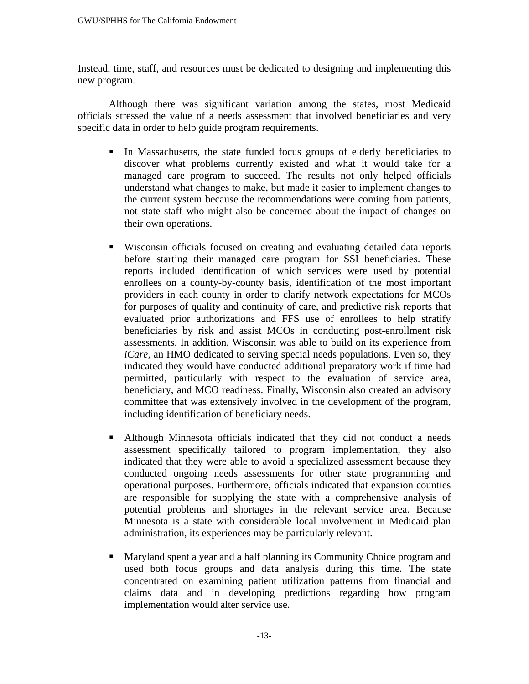Instead, time, staff, and resources must be dedicated to designing and implementing this new program.

 Although there was significant variation among the states, most Medicaid officials stressed the value of a needs assessment that involved beneficiaries and very specific data in order to help guide program requirements.

- In Massachusetts, the state funded focus groups of elderly beneficiaries to discover what problems currently existed and what it would take for a managed care program to succeed. The results not only helped officials understand what changes to make, but made it easier to implement changes to the current system because the recommendations were coming from patients, not state staff who might also be concerned about the impact of changes on their own operations.
- Wisconsin officials focused on creating and evaluating detailed data reports before starting their managed care program for SSI beneficiaries. These reports included identification of which services were used by potential enrollees on a county-by-county basis, identification of the most important providers in each county in order to clarify network expectations for MCOs for purposes of quality and continuity of care, and predictive risk reports that evaluated prior authorizations and FFS use of enrollees to help stratify beneficiaries by risk and assist MCOs in conducting post-enrollment risk assessments. In addition, Wisconsin was able to build on its experience from *iCare*, an HMO dedicated to serving special needs populations. Even so, they indicated they would have conducted additional preparatory work if time had permitted, particularly with respect to the evaluation of service area, beneficiary, and MCO readiness. Finally, Wisconsin also created an advisory committee that was extensively involved in the development of the program, including identification of beneficiary needs.
- Although Minnesota officials indicated that they did not conduct a needs assessment specifically tailored to program implementation, they also indicated that they were able to avoid a specialized assessment because they conducted ongoing needs assessments for other state programming and operational purposes. Furthermore, officials indicated that expansion counties are responsible for supplying the state with a comprehensive analysis of potential problems and shortages in the relevant service area. Because Minnesota is a state with considerable local involvement in Medicaid plan administration, its experiences may be particularly relevant.
- Maryland spent a year and a half planning its Community Choice program and used both focus groups and data analysis during this time. The state concentrated on examining patient utilization patterns from financial and claims data and in developing predictions regarding how program implementation would alter service use.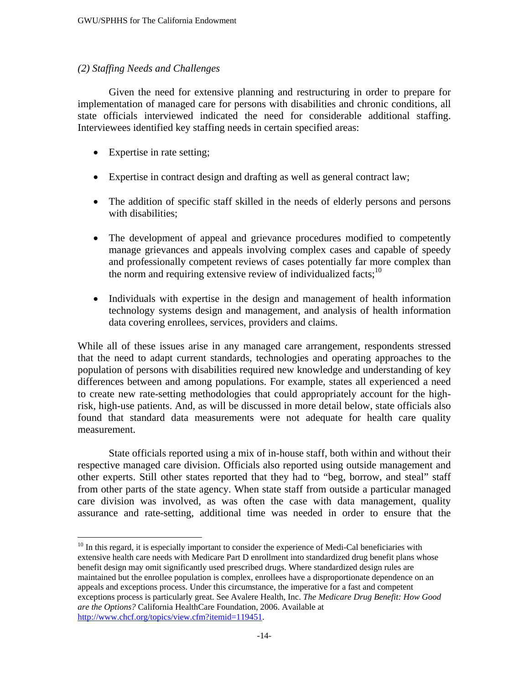#### *(2) Staffing Needs and Challenges*

 Given the need for extensive planning and restructuring in order to prepare for implementation of managed care for persons with disabilities and chronic conditions, all state officials interviewed indicated the need for considerable additional staffing. Interviewees identified key staffing needs in certain specified areas:

• Expertise in rate setting;

 $\overline{a}$ 

- Expertise in contract design and drafting as well as general contract law;
- The addition of specific staff skilled in the needs of elderly persons and persons with disabilities;
- The development of appeal and grievance procedures modified to competently manage grievances and appeals involving complex cases and capable of speedy and professionally competent reviews of cases potentially far more complex than the norm and requiring extensive review of individualized facts; $10<sup>10</sup>$
- Individuals with expertise in the design and management of health information technology systems design and management, and analysis of health information data covering enrollees, services, providers and claims.

While all of these issues arise in any managed care arrangement, respondents stressed that the need to adapt current standards, technologies and operating approaches to the population of persons with disabilities required new knowledge and understanding of key differences between and among populations. For example, states all experienced a need to create new rate-setting methodologies that could appropriately account for the highrisk, high-use patients. And, as will be discussed in more detail below, state officials also found that standard data measurements were not adequate for health care quality measurement.

 State officials reported using a mix of in-house staff, both within and without their respective managed care division. Officials also reported using outside management and other experts. Still other states reported that they had to "beg, borrow, and steal" staff from other parts of the state agency. When state staff from outside a particular managed care division was involved, as was often the case with data management, quality assurance and rate-setting, additional time was needed in order to ensure that the

 $10$  In this regard, it is especially important to consider the experience of Medi-Cal beneficiaries with extensive health care needs with Medicare Part D enrollment into standardized drug benefit plans whose benefit design may omit significantly used prescribed drugs. Where standardized design rules are maintained but the enrollee population is complex, enrollees have a disproportionate dependence on an appeals and exceptions process. Under this circumstance, the imperative for a fast and competent exceptions process is particularly great. See Avalere Health, Inc. *The Medicare Drug Benefit: How Good are the Options?* California HealthCare Foundation, 2006. Available at http://www.chcf.org/topics/view.cfm?itemid=119451.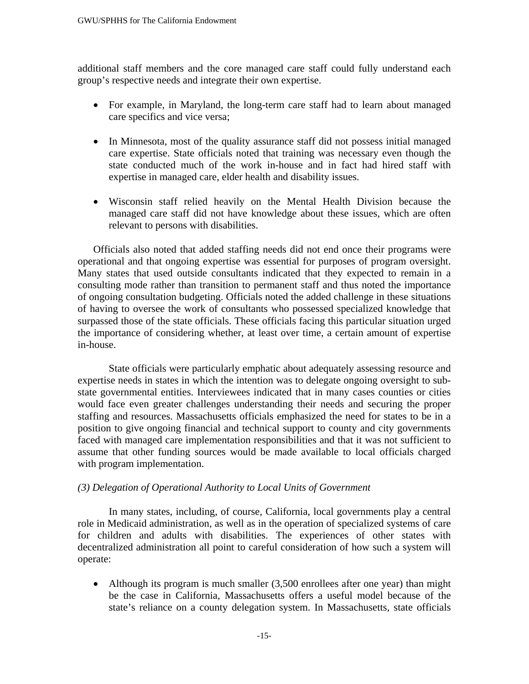additional staff members and the core managed care staff could fully understand each group's respective needs and integrate their own expertise.

- For example, in Maryland, the long-term care staff had to learn about managed care specifics and vice versa;
- In Minnesota, most of the quality assurance staff did not possess initial managed care expertise. State officials noted that training was necessary even though the state conducted much of the work in-house and in fact had hired staff with expertise in managed care, elder health and disability issues.
- Wisconsin staff relied heavily on the Mental Health Division because the managed care staff did not have knowledge about these issues, which are often relevant to persons with disabilities.

Officials also noted that added staffing needs did not end once their programs were operational and that ongoing expertise was essential for purposes of program oversight. Many states that used outside consultants indicated that they expected to remain in a consulting mode rather than transition to permanent staff and thus noted the importance of ongoing consultation budgeting. Officials noted the added challenge in these situations of having to oversee the work of consultants who possessed specialized knowledge that surpassed those of the state officials. These officials facing this particular situation urged the importance of considering whether, at least over time, a certain amount of expertise in-house.

State officials were particularly emphatic about adequately assessing resource and expertise needs in states in which the intention was to delegate ongoing oversight to substate governmental entities. Interviewees indicated that in many cases counties or cities would face even greater challenges understanding their needs and securing the proper staffing and resources. Massachusetts officials emphasized the need for states to be in a position to give ongoing financial and technical support to county and city governments faced with managed care implementation responsibilities and that it was not sufficient to assume that other funding sources would be made available to local officials charged with program implementation.

#### *(3) Delegation of Operational Authority to Local Units of Government*

 In many states, including, of course, California, local governments play a central role in Medicaid administration, as well as in the operation of specialized systems of care for children and adults with disabilities. The experiences of other states with decentralized administration all point to careful consideration of how such a system will operate:

• Although its program is much smaller (3,500 enrollees after one year) than might be the case in California, Massachusetts offers a useful model because of the state's reliance on a county delegation system. In Massachusetts, state officials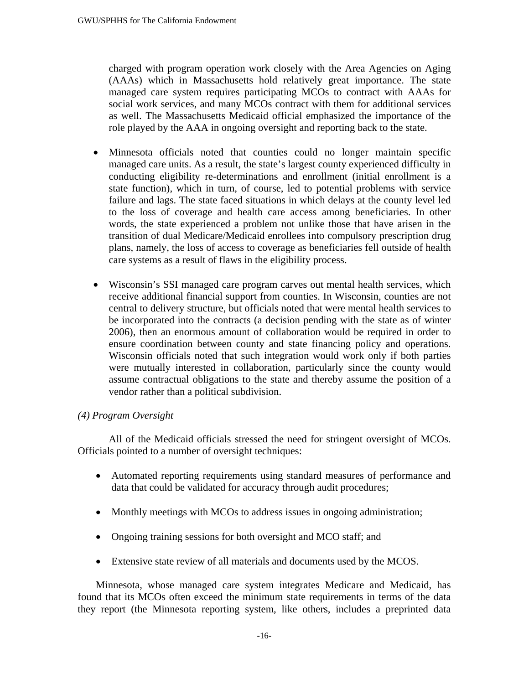charged with program operation work closely with the Area Agencies on Aging (AAAs) which in Massachusetts hold relatively great importance. The state managed care system requires participating MCOs to contract with AAAs for social work services, and many MCOs contract with them for additional services as well. The Massachusetts Medicaid official emphasized the importance of the role played by the AAA in ongoing oversight and reporting back to the state.

- Minnesota officials noted that counties could no longer maintain specific managed care units. As a result, the state's largest county experienced difficulty in conducting eligibility re-determinations and enrollment (initial enrollment is a state function), which in turn, of course, led to potential problems with service failure and lags. The state faced situations in which delays at the county level led to the loss of coverage and health care access among beneficiaries. In other words, the state experienced a problem not unlike those that have arisen in the transition of dual Medicare/Medicaid enrollees into compulsory prescription drug plans, namely, the loss of access to coverage as beneficiaries fell outside of health care systems as a result of flaws in the eligibility process.
- Wisconsin's SSI managed care program carves out mental health services, which receive additional financial support from counties. In Wisconsin, counties are not central to delivery structure, but officials noted that were mental health services to be incorporated into the contracts (a decision pending with the state as of winter 2006), then an enormous amount of collaboration would be required in order to ensure coordination between county and state financing policy and operations. Wisconsin officials noted that such integration would work only if both parties were mutually interested in collaboration, particularly since the county would assume contractual obligations to the state and thereby assume the position of a vendor rather than a political subdivision.

#### *(4) Program Oversight*

 All of the Medicaid officials stressed the need for stringent oversight of MCOs. Officials pointed to a number of oversight techniques:

- Automated reporting requirements using standard measures of performance and data that could be validated for accuracy through audit procedures;
- Monthly meetings with MCOs to address issues in ongoing administration;
- Ongoing training sessions for both oversight and MCO staff; and
- Extensive state review of all materials and documents used by the MCOS.

Minnesota, whose managed care system integrates Medicare and Medicaid, has found that its MCOs often exceed the minimum state requirements in terms of the data they report (the Minnesota reporting system, like others, includes a preprinted data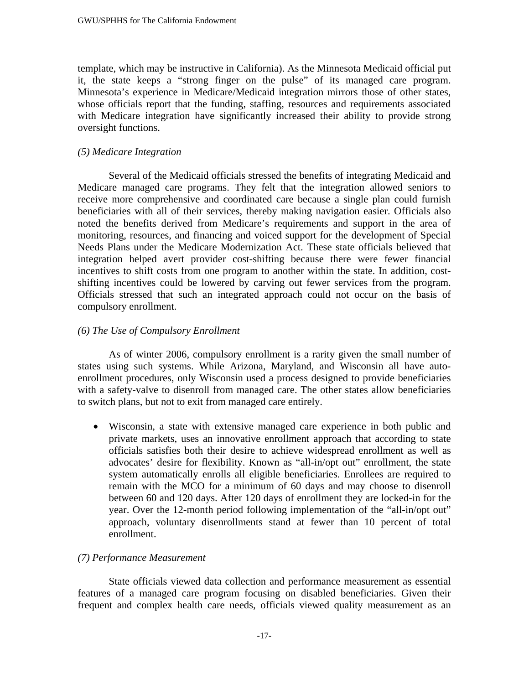template, which may be instructive in California). As the Minnesota Medicaid official put it, the state keeps a "strong finger on the pulse" of its managed care program. Minnesota's experience in Medicare/Medicaid integration mirrors those of other states, whose officials report that the funding, staffing, resources and requirements associated with Medicare integration have significantly increased their ability to provide strong oversight functions.

## *(5) Medicare Integration*

 Several of the Medicaid officials stressed the benefits of integrating Medicaid and Medicare managed care programs. They felt that the integration allowed seniors to receive more comprehensive and coordinated care because a single plan could furnish beneficiaries with all of their services, thereby making navigation easier. Officials also noted the benefits derived from Medicare's requirements and support in the area of monitoring, resources, and financing and voiced support for the development of Special Needs Plans under the Medicare Modernization Act. These state officials believed that integration helped avert provider cost-shifting because there were fewer financial incentives to shift costs from one program to another within the state. In addition, costshifting incentives could be lowered by carving out fewer services from the program. Officials stressed that such an integrated approach could not occur on the basis of compulsory enrollment.

### *(6) The Use of Compulsory Enrollment*

As of winter 2006, compulsory enrollment is a rarity given the small number of states using such systems. While Arizona, Maryland, and Wisconsin all have autoenrollment procedures, only Wisconsin used a process designed to provide beneficiaries with a safety-valve to disenroll from managed care. The other states allow beneficiaries to switch plans, but not to exit from managed care entirely.

• Wisconsin, a state with extensive managed care experience in both public and private markets, uses an innovative enrollment approach that according to state officials satisfies both their desire to achieve widespread enrollment as well as advocates' desire for flexibility. Known as "all-in/opt out" enrollment, the state system automatically enrolls all eligible beneficiaries. Enrollees are required to remain with the MCO for a minimum of 60 days and may choose to disenroll between 60 and 120 days. After 120 days of enrollment they are locked-in for the year. Over the 12-month period following implementation of the "all-in/opt out" approach, voluntary disenrollments stand at fewer than 10 percent of total enrollment.

## *(7) Performance Measurement*

 State officials viewed data collection and performance measurement as essential features of a managed care program focusing on disabled beneficiaries. Given their frequent and complex health care needs, officials viewed quality measurement as an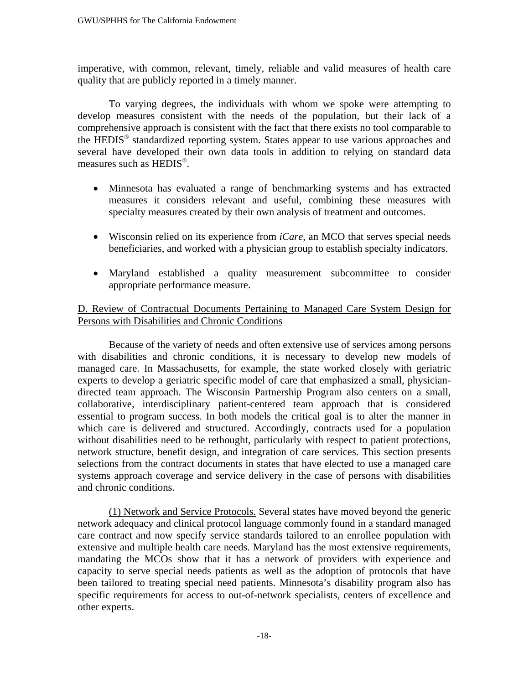imperative, with common, relevant, timely, reliable and valid measures of health care quality that are publicly reported in a timely manner.

To varying degrees, the individuals with whom we spoke were attempting to develop measures consistent with the needs of the population, but their lack of a comprehensive approach is consistent with the fact that there exists no tool comparable to the HEDIS® standardized reporting system. States appear to use various approaches and several have developed their own data tools in addition to relying on standard data measures such as HEDIS®.

- Minnesota has evaluated a range of benchmarking systems and has extracted measures it considers relevant and useful, combining these measures with specialty measures created by their own analysis of treatment and outcomes.
- Wisconsin relied on its experience from *iCare*, an MCO that serves special needs beneficiaries, and worked with a physician group to establish specialty indicators.
- Maryland established a quality measurement subcommittee to consider appropriate performance measure.

## D. Review of Contractual Documents Pertaining to Managed Care System Design for Persons with Disabilities and Chronic Conditions

Because of the variety of needs and often extensive use of services among persons with disabilities and chronic conditions, it is necessary to develop new models of managed care. In Massachusetts, for example, the state worked closely with geriatric experts to develop a geriatric specific model of care that emphasized a small, physiciandirected team approach. The Wisconsin Partnership Program also centers on a small, collaborative, interdisciplinary patient-centered team approach that is considered essential to program success. In both models the critical goal is to alter the manner in which care is delivered and structured. Accordingly, contracts used for a population without disabilities need to be rethought, particularly with respect to patient protections, network structure, benefit design, and integration of care services. This section presents selections from the contract documents in states that have elected to use a managed care systems approach coverage and service delivery in the case of persons with disabilities and chronic conditions.

(1) Network and Service Protocols. Several states have moved beyond the generic network adequacy and clinical protocol language commonly found in a standard managed care contract and now specify service standards tailored to an enrollee population with extensive and multiple health care needs. Maryland has the most extensive requirements, mandating the MCOs show that it has a network of providers with experience and capacity to serve special needs patients as well as the adoption of protocols that have been tailored to treating special need patients. Minnesota's disability program also has specific requirements for access to out-of-network specialists, centers of excellence and other experts.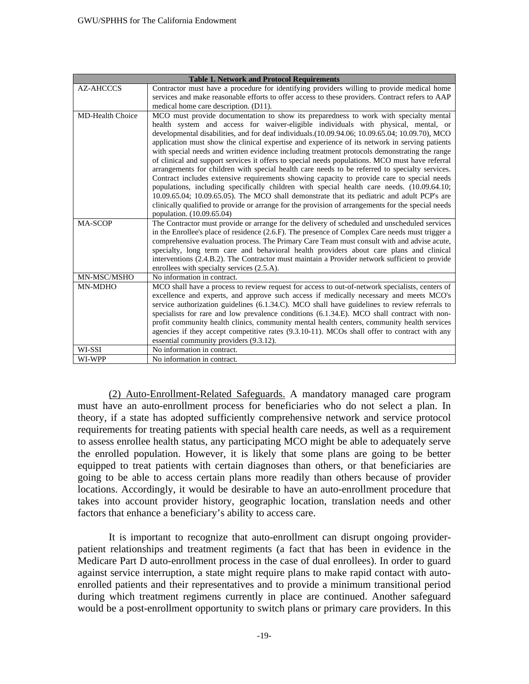| <b>Table 1. Network and Protocol Requirements</b> |                                                                                                                                                                                                                                                                                                                                                                                                                                                                                                                                                                                                                                                                                                                                                                                                                                                                                                                                                                                                                                                                                                                     |
|---------------------------------------------------|---------------------------------------------------------------------------------------------------------------------------------------------------------------------------------------------------------------------------------------------------------------------------------------------------------------------------------------------------------------------------------------------------------------------------------------------------------------------------------------------------------------------------------------------------------------------------------------------------------------------------------------------------------------------------------------------------------------------------------------------------------------------------------------------------------------------------------------------------------------------------------------------------------------------------------------------------------------------------------------------------------------------------------------------------------------------------------------------------------------------|
| <b>AZ-AHCCCS</b>                                  | Contractor must have a procedure for identifying providers willing to provide medical home                                                                                                                                                                                                                                                                                                                                                                                                                                                                                                                                                                                                                                                                                                                                                                                                                                                                                                                                                                                                                          |
|                                                   | services and make reasonable efforts to offer access to these providers. Contract refers to AAP                                                                                                                                                                                                                                                                                                                                                                                                                                                                                                                                                                                                                                                                                                                                                                                                                                                                                                                                                                                                                     |
|                                                   | medical home care description. (D11).                                                                                                                                                                                                                                                                                                                                                                                                                                                                                                                                                                                                                                                                                                                                                                                                                                                                                                                                                                                                                                                                               |
| <b>MD-Health Choice</b>                           | MCO must provide documentation to show its preparedness to work with specialty mental<br>health system and access for waiver-eligible individuals with physical, mental, or<br>developmental disabilities, and for deaf individuals.(10.09.94.06; 10.09.65.04; 10.09.70), MCO<br>application must show the clinical expertise and experience of its network in serving patients<br>with special needs and written evidence including treatment protocols demonstrating the range<br>of clinical and support services it offers to special needs populations. MCO must have referral<br>arrangements for children with special health care needs to be referred to specialty services.<br>Contract includes extensive requirements showing capacity to provide care to special needs<br>populations, including specifically children with special health care needs. (10.09.64.10;<br>10.09.65.04; 10.09.65.05). The MCO shall demonstrate that its pediatric and adult PCP's are<br>clinically qualified to provide or arrange for the provision of arrangements for the special needs<br>population. (10.09.65.04) |
| MA-SCOP                                           | The Contractor must provide or arrange for the delivery of scheduled and unscheduled services<br>in the Enrollee's place of residence (2.6.F). The presence of Complex Care needs must trigger a<br>comprehensive evaluation process. The Primary Care Team must consult with and advise acute,<br>specialty, long term care and behavioral health providers about care plans and clinical<br>interventions (2.4.B.2). The Contractor must maintain a Provider network sufficient to provide<br>enrollees with specialty services (2.5.A).                                                                                                                                                                                                                                                                                                                                                                                                                                                                                                                                                                          |
| MN-MSC/MSHO                                       | No information in contract.                                                                                                                                                                                                                                                                                                                                                                                                                                                                                                                                                                                                                                                                                                                                                                                                                                                                                                                                                                                                                                                                                         |
| MN-MDHO                                           | MCO shall have a process to review request for access to out-of-network specialists, centers of<br>excellence and experts, and approve such access if medically necessary and meets MCO's<br>service authorization guidelines (6.1.34.C). MCO shall have guidelines to review referrals to<br>specialists for rare and low prevalence conditions (6.1.34.E). MCO shall contract with non-<br>profit community health clinics, community mental health centers, community health services<br>agencies if they accept competitive rates (9.3.10-11). MCOs shall offer to contract with any<br>essential community providers (9.3.12).                                                                                                                                                                                                                                                                                                                                                                                                                                                                                 |
| WI-SSI                                            | No information in contract.                                                                                                                                                                                                                                                                                                                                                                                                                                                                                                                                                                                                                                                                                                                                                                                                                                                                                                                                                                                                                                                                                         |
| WI-WPP                                            | No information in contract.                                                                                                                                                                                                                                                                                                                                                                                                                                                                                                                                                                                                                                                                                                                                                                                                                                                                                                                                                                                                                                                                                         |

(2) Auto-Enrollment-Related Safeguards. A mandatory managed care program must have an auto-enrollment process for beneficiaries who do not select a plan. In theory, if a state has adopted sufficiently comprehensive network and service protocol requirements for treating patients with special health care needs, as well as a requirement to assess enrollee health status, any participating MCO might be able to adequately serve the enrolled population. However, it is likely that some plans are going to be better equipped to treat patients with certain diagnoses than others, or that beneficiaries are going to be able to access certain plans more readily than others because of provider locations. Accordingly, it would be desirable to have an auto-enrollment procedure that takes into account provider history, geographic location, translation needs and other factors that enhance a beneficiary's ability to access care.

It is important to recognize that auto-enrollment can disrupt ongoing providerpatient relationships and treatment regiments (a fact that has been in evidence in the Medicare Part D auto-enrollment process in the case of dual enrollees). In order to guard against service interruption, a state might require plans to make rapid contact with autoenrolled patients and their representatives and to provide a minimum transitional period during which treatment regimens currently in place are continued. Another safeguard would be a post-enrollment opportunity to switch plans or primary care providers. In this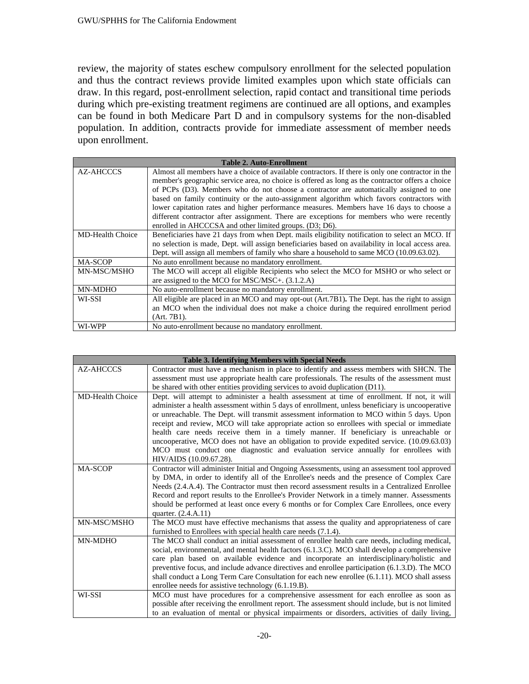review, the majority of states eschew compulsory enrollment for the selected population and thus the contract reviews provide limited examples upon which state officials can draw. In this regard, post-enrollment selection, rapid contact and transitional time periods during which pre-existing treatment regimens are continued are all options, and examples can be found in both Medicare Part D and in compulsory systems for the non-disabled population. In addition, contracts provide for immediate assessment of member needs upon enrollment.

| <b>Table 2. Auto-Enrollment</b> |                                                                                                   |
|---------------------------------|---------------------------------------------------------------------------------------------------|
| AZ-AHCCCS                       | Almost all members have a choice of available contractors. If there is only one contractor in the |
|                                 | member's geographic service area, no choice is offered as long as the contractor offers a choice  |
|                                 | of PCPs (D3). Members who do not choose a contractor are automatically assigned to one            |
|                                 | based on family continuity or the auto-assignment algorithm which favors contractors with         |
|                                 | lower capitation rates and higher performance measures. Members have 16 days to choose a          |
|                                 | different contractor after assignment. There are exceptions for members who were recently         |
|                                 | enrolled in AHCCCSA and other limited groups. (D3; D6).                                           |
| <b>MD-Health Choice</b>         | Beneficiaries have 21 days from when Dept. mails eligibility notification to select an MCO. If    |
|                                 | no selection is made, Dept. will assign beneficiaries based on availability in local access area. |
|                                 | Dept. will assign all members of family who share a household to same MCO (10.09.63.02).          |
| <b>MA-SCOP</b>                  | No auto enrollment because no mandatory enrollment.                                               |
| MN-MSC/MSHO                     | The MCO will accept all eligible Recipients who select the MCO for MSHO or who select or          |
|                                 | are assigned to the MCO for MSC/MSC+. (3.1.2.A)                                                   |
| MN-MDHO                         | No auto-enrollment because no mandatory enrollment.                                               |
| WI-SSI                          | All eligible are placed in an MCO and may opt-out (Art.7B1). The Dept. has the right to assign    |
|                                 | an MCO when the individual does not make a choice during the required enrollment period           |
|                                 | $(Art. 7B1)$ .                                                                                    |
| WI-WPP                          | No auto-enrollment because no mandatory enrollment.                                               |

| <b>Table 3. Identifying Members with Special Needs</b> |                                                                                                                   |
|--------------------------------------------------------|-------------------------------------------------------------------------------------------------------------------|
| AZ-AHCCCS                                              | Contractor must have a mechanism in place to identify and assess members with SHCN. The                           |
|                                                        | assessment must use appropriate health care professionals. The results of the assessment must                     |
|                                                        | be shared with other entities providing services to avoid duplication (D11).                                      |
| <b>MD-Health Choice</b>                                | Dept. will attempt to administer a health assessment at time of enrollment. If not, it will                       |
|                                                        | administer a health assessment within 5 days of enrollment, unless beneficiary is uncooperative                   |
|                                                        | or unreachable. The Dept. will transmit assessment information to MCO within 5 days. Upon                         |
|                                                        | receipt and review, MCO will take appropriate action so enrollees with special or immediate                       |
|                                                        | health care needs receive them in a timely manner. If beneficiary is unreachable or                               |
|                                                        | uncooperative, MCO does not have an obligation to provide expedited service. (10.09.63.03)                        |
|                                                        | MCO must conduct one diagnostic and evaluation service annually for enrollees with                                |
|                                                        | HIV/AIDS (10.09.67.28).                                                                                           |
| <b>MA-SCOP</b>                                         | Contractor will administer Initial and Ongoing Assessments, using an assessment tool approved                     |
|                                                        | by DMA, in order to identify all of the Enrollee's needs and the presence of Complex Care                         |
|                                                        | Needs (2.4.A.4). The Contractor must then record assessment results in a Centralized Enrollee                     |
|                                                        | Record and report results to the Enrollee's Provider Network in a timely manner. Assessments                      |
|                                                        | should be performed at least once every 6 months or for Complex Care Enrollees, once every                        |
| MN-MSC/MSHO                                            | quarter. (2.4.A.11)<br>The MCO must have effective mechanisms that assess the quality and appropriateness of care |
|                                                        | furnished to Enrollees with special health care needs (7.1.4).                                                    |
| MN-MDHO                                                | The MCO shall conduct an initial assessment of enrollee health care needs, including medical,                     |
|                                                        | social, environmental, and mental health factors (6.1.3.C). MCO shall develop a comprehensive                     |
|                                                        | care plan based on available evidence and incorporate an interdisciplinary/holistic and                           |
|                                                        | preventive focus, and include advance directives and enrollee participation (6.1.3.D). The MCO                    |
|                                                        | shall conduct a Long Term Care Consultation for each new enrollee (6.1.11). MCO shall assess                      |
|                                                        | enrollee needs for assistive technology (6.1.19.B).                                                               |
| WI-SSI                                                 | MCO must have procedures for a comprehensive assessment for each enrollee as soon as                              |
|                                                        | possible after receiving the enrollment report. The assessment should include, but is not limited                 |
|                                                        | to an evaluation of mental or physical impairments or disorders, activities of daily living,                      |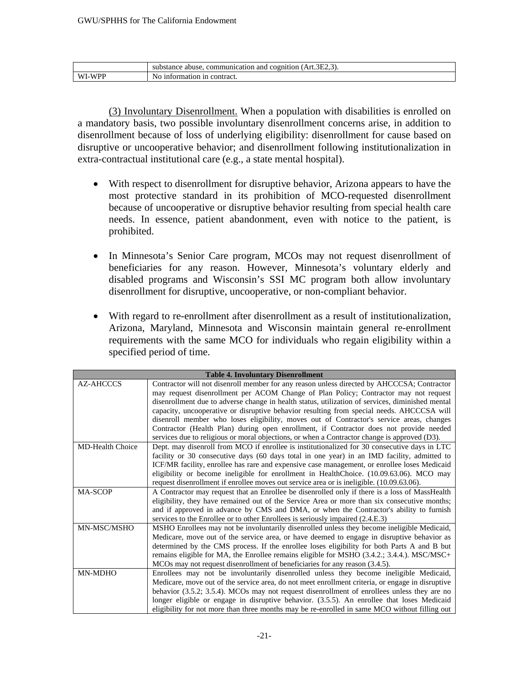|                   | $\sim$ $\sim$<br>۱н<br>and<br>cononr<br>$\sim$ + + $\sim$ + $\sim$<br>tion<br>Art<br>substance<br>abuse<br>≏on.<br>запоп-<br>,,,,,,,,,,,<br>. |
|-------------------|-----------------------------------------------------------------------------------------------------------------------------------------------|
| ,,,,<br>W I<br>A. | contract.<br>-1n<br>mation<br>NC<br>1n<br>$_{\rm O}$                                                                                          |

(3) Involuntary Disenrollment. When a population with disabilities is enrolled on a mandatory basis, two possible involuntary disenrollment concerns arise, in addition to disenrollment because of loss of underlying eligibility: disenrollment for cause based on disruptive or uncooperative behavior; and disenrollment following institutionalization in extra-contractual institutional care (e.g., a state mental hospital).

- With respect to disenrollment for disruptive behavior, Arizona appears to have the most protective standard in its prohibition of MCO-requested disenrollment because of uncooperative or disruptive behavior resulting from special health care needs. In essence, patient abandonment, even with notice to the patient, is prohibited.
- In Minnesota's Senior Care program, MCOs may not request disenrollment of beneficiaries for any reason. However, Minnesota's voluntary elderly and disabled programs and Wisconsin's SSI MC program both allow involuntary disenrollment for disruptive, uncooperative, or non-compliant behavior.
- With regard to re-enrollment after disenrollment as a result of institutionalization, Arizona, Maryland, Minnesota and Wisconsin maintain general re-enrollment requirements with the same MCO for individuals who regain eligibility within a specified period of time.

| <b>Table 4. Involuntary Disenrollment</b> |                                                                                                  |
|-------------------------------------------|--------------------------------------------------------------------------------------------------|
| AZ-AHCCCS                                 | Contractor will not disenroll member for any reason unless directed by AHCCCSA; Contractor       |
|                                           | may request disenrollment per ACOM Change of Plan Policy; Contractor may not request             |
|                                           | disenrollment due to adverse change in health status, utilization of services, diminished mental |
|                                           | capacity, uncooperative or disruptive behavior resulting from special needs. AHCCCSA will        |
|                                           | disentional member who loses eligibility, moves out of Contractor's service areas, changes       |
|                                           | Contractor (Health Plan) during open enrollment, if Contractor does not provide needed           |
|                                           | services due to religious or moral objections, or when a Contractor change is approved (D3).     |
| <b>MD-Health Choice</b>                   | Dept. may disenroll from MCO if enrollee is institutionalized for 30 consecutive days in LTC     |
|                                           | facility or 30 consecutive days (60 days total in one year) in an IMD facility, admitted to      |
|                                           | ICF/MR facility, enrollee has rare and expensive case management, or enrollee loses Medicaid     |
|                                           | eligibility or become ineligible for enrollment in HealthChoice. (10.09.63.06). MCO may          |
|                                           | request disenrollment if enrollee moves out service area or is ineligible. (10.09.63.06).        |
| <b>MA-SCOP</b>                            | A Contractor may request that an Enrollee be disenrolled only if there is a loss of MassHealth   |
|                                           | eligibility, they have remained out of the Service Area or more than six consecutive months;     |
|                                           | and if approved in advance by CMS and DMA, or when the Contractor's ability to furnish           |
|                                           | services to the Enrollee or to other Enrollees is seriously impaired (2.4.E.3)                   |
| MN-MSC/MSHO                               | MSHO Enrollees may not be involuntarily disenrolled unless they become ineligible Medicaid,      |
|                                           | Medicare, move out of the service area, or have deemed to engage in disruptive behavior as       |
|                                           | determined by the CMS process. If the enrollee loses eligibility for both Parts A and B but      |
|                                           | remains eligible for MA, the Enrollee remains eligible for MSHO (3.4.2.; 3.4.4.). MSC/MSC+       |
|                                           | MCOs may not request disenrollment of beneficiaries for any reason (3.4.5).                      |
| MN-MDHO                                   | Enrollees may not be involuntarily disenrolled unless they become ineligible Medicaid,           |
|                                           | Medicare, move out of the service area, do not meet enrollment criteria, or engage in disruptive |
|                                           | behavior (3.5.2; 3.5.4). MCOs may not request disenrollment of enrollees unless they are no      |
|                                           | longer eligible or engage in disruptive behavior. (3.5.5). An enrollee that loses Medicaid       |
|                                           | eligibility for not more than three months may be re-enrolled in same MCO without filling out    |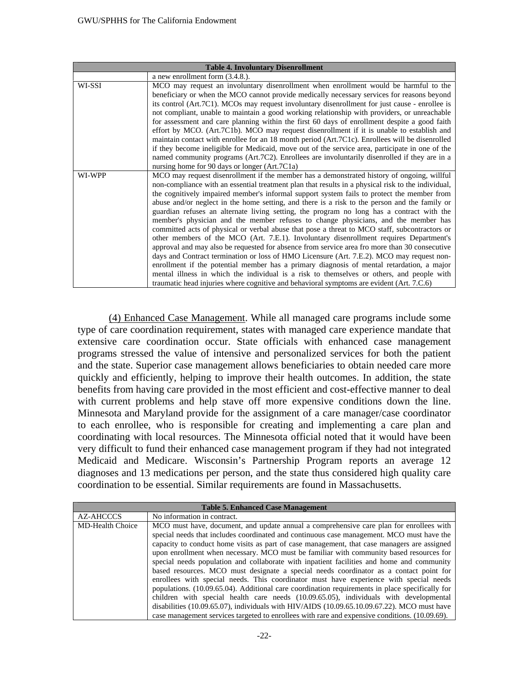| <b>Table 4. Involuntary Disenrollment</b> |                                                                                                                                                                                                                                                                                                                                                                                                                                                                                                                                                                                                                                                                                                                                                                                                                                                                                                                                                                                                                                                                                                                                                                                                                                                                   |
|-------------------------------------------|-------------------------------------------------------------------------------------------------------------------------------------------------------------------------------------------------------------------------------------------------------------------------------------------------------------------------------------------------------------------------------------------------------------------------------------------------------------------------------------------------------------------------------------------------------------------------------------------------------------------------------------------------------------------------------------------------------------------------------------------------------------------------------------------------------------------------------------------------------------------------------------------------------------------------------------------------------------------------------------------------------------------------------------------------------------------------------------------------------------------------------------------------------------------------------------------------------------------------------------------------------------------|
|                                           | a new enrollment form $(3.4.8.)$ .                                                                                                                                                                                                                                                                                                                                                                                                                                                                                                                                                                                                                                                                                                                                                                                                                                                                                                                                                                                                                                                                                                                                                                                                                                |
| WI-SSI                                    | MCO may request an involuntary disenrollment when enrollment would be harmful to the<br>beneficiary or when the MCO cannot provide medically necessary services for reasons beyond<br>its control (Art.7C1). MCOs may request involuntary disenrollment for just cause - enrollee is<br>not compliant, unable to maintain a good working relationship with providers, or unreachable<br>for assessment and care planning within the first 60 days of enrollment despite a good faith<br>effort by MCO. (Art.7C1b). MCO may request disenrollment if it is unable to establish and<br>maintain contact with enrollee for an 18 month period (Art.7C1c). Enrollees will be disenrolled<br>if they become ineligible for Medicaid, move out of the service area, participate in one of the<br>named community programs (Art.7C2). Enrollees are involuntarily disenrolled if they are in a<br>nursing home for 90 days or longer (Art.7C1a)                                                                                                                                                                                                                                                                                                                          |
| WI-WPP                                    | MCO may request disenrollment if the member has a demonstrated history of ongoing, willful<br>non-compliance with an essential treatment plan that results in a physical risk to the individual,<br>the cognitively impaired member's informal support system fails to protect the member from<br>abuse and/or neglect in the home setting, and there is a risk to the person and the family or<br>guardian refuses an alternate living setting, the program no long has a contract with the<br>member's physician and the member refuses to change physicians, and the member has<br>committed acts of physical or verbal abuse that pose a threat to MCO staff, subcontractors or<br>other members of the MCO (Art. 7.E.1). Involuntary disenrollment requires Department's<br>approval and may also be requested for absence from service area fro more than 30 consecutive<br>days and Contract termination or loss of HMO Licensure (Art. 7.E.2). MCO may request non-<br>enrollment if the potential member has a primary diagnosis of mental retardation, a major<br>mental illness in which the individual is a risk to themselves or others, and people with<br>traumatic head injuries where cognitive and behavioral symptoms are evident (Art. 7.C.6) |

(4) Enhanced Case Management. While all managed care programs include some type of care coordination requirement, states with managed care experience mandate that extensive care coordination occur. State officials with enhanced case management programs stressed the value of intensive and personalized services for both the patient and the state. Superior case management allows beneficiaries to obtain needed care more quickly and efficiently, helping to improve their health outcomes. In addition, the state benefits from having care provided in the most efficient and cost-effective manner to deal with current problems and help stave off more expensive conditions down the line. Minnesota and Maryland provide for the assignment of a care manager/case coordinator to each enrollee, who is responsible for creating and implementing a care plan and coordinating with local resources. The Minnesota official noted that it would have been very difficult to fund their enhanced case management program if they had not integrated Medicaid and Medicare. Wisconsin's Partnership Program reports an average 12 diagnoses and 13 medications per person, and the state thus considered high quality care coordination to be essential. Similar requirements are found in Massachusetts.

| <b>Table 5. Enhanced Case Management</b> |                                                                                                                                                                                                                                                                                                                                                                                                                                                                                                                                                                                                                                                                                                                                                                                                                                                                                                                                                                                                                                                              |
|------------------------------------------|--------------------------------------------------------------------------------------------------------------------------------------------------------------------------------------------------------------------------------------------------------------------------------------------------------------------------------------------------------------------------------------------------------------------------------------------------------------------------------------------------------------------------------------------------------------------------------------------------------------------------------------------------------------------------------------------------------------------------------------------------------------------------------------------------------------------------------------------------------------------------------------------------------------------------------------------------------------------------------------------------------------------------------------------------------------|
| AZ-AHCCCS                                | No information in contract.                                                                                                                                                                                                                                                                                                                                                                                                                                                                                                                                                                                                                                                                                                                                                                                                                                                                                                                                                                                                                                  |
| <b>MD-Health Choice</b>                  | MCO must have, document, and update annual a comprehensive care plan for enrollees with<br>special needs that includes coordinated and continuous case management. MCO must have the<br>capacity to conduct home visits as part of case management, that case managers are assigned<br>upon enrollment when necessary. MCO must be familiar with community based resources for<br>special needs population and collaborate with inpatient facilities and home and community<br>based resources. MCO must designate a special needs coordinator as a contact point for<br>enrollees with special needs. This coordinator must have experience with special needs<br>populations. (10.09.65.04). Additional care coordination requirements in place specifically for<br>children with special health care needs (10.09.65.05), individuals with developmental<br>disabilities (10.09.65.07), individuals with HIV/AIDS (10.09.65.10.09.67.22). MCO must have<br>case management services targeted to enrollees with rare and expensive conditions. (10.09.69). |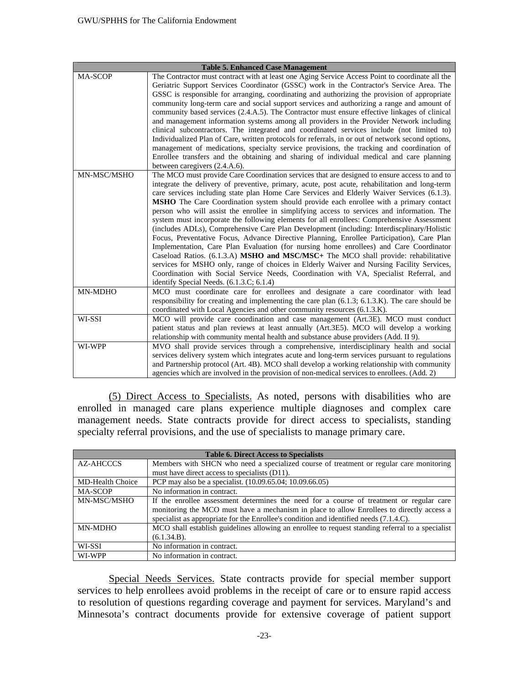| <b>Table 5. Enhanced Case Management</b> |                                                                                                                                                                                         |
|------------------------------------------|-----------------------------------------------------------------------------------------------------------------------------------------------------------------------------------------|
| <b>MA-SCOP</b>                           | The Contractor must contract with at least one Aging Service Access Point to coordinate all the                                                                                         |
|                                          | Geriatric Support Services Coordinator (GSSC) work in the Contractor's Service Area. The                                                                                                |
|                                          | GSSC is responsible for arranging, coordinating and authorizing the provision of appropriate                                                                                            |
|                                          | community long-term care and social support services and authorizing a range and amount of                                                                                              |
|                                          | community based services (2.4.A.5). The Contractor must ensure effective linkages of clinical                                                                                           |
|                                          | and management information systems among all providers in the Provider Network including                                                                                                |
|                                          | clinical subcontractors. The integrated and coordinated services include (not limited to)                                                                                               |
|                                          | Individualized Plan of Care, written protocols for referrals, in or out of network second options,                                                                                      |
|                                          | management of medications, specialty service provisions, the tracking and coordination of                                                                                               |
|                                          | Enrollee transfers and the obtaining and sharing of individual medical and care planning                                                                                                |
|                                          | between caregivers (2.4.A.6).                                                                                                                                                           |
| MN-MSC/MSHO                              | The MCO must provide Care Coordination services that are designed to ensure access to and to                                                                                            |
|                                          | integrate the delivery of preventive, primary, acute, post acute, rehabilitation and long-term                                                                                          |
|                                          | care services including state plan Home Care Services and Elderly Waiver Services (6.1.3).                                                                                              |
|                                          | <b>MSHO</b> The Care Coordination system should provide each enrollee with a primary contact                                                                                            |
|                                          | person who will assist the enrollee in simplifying access to services and information. The                                                                                              |
|                                          | system must incorporate the following elements for all enrollees: Comprehensive Assessment                                                                                              |
|                                          | (includes ADLs), Comprehensive Care Plan Development (including: Interdiscplinary/Holistic<br>Focus, Preventative Focus, Advance Directive Planning, Enrollee Participation), Care Plan |
|                                          | Implementation, Care Plan Evaluation (for nursing home enrollees) and Care Coordinator                                                                                                  |
|                                          | Caseload Ratios. (6.1.3.A) MSHO and MSC/MSC+ The MCO shall provide: rehabilitative                                                                                                      |
|                                          | services for MSHO only, range of choices in Elderly Waiver and Nursing Facility Services,                                                                                               |
|                                          | Coordination with Social Service Needs, Coordination with VA, Specialist Referral, and                                                                                                  |
|                                          | identify Special Needs. (6.1.3.C; 6.1.4)                                                                                                                                                |
| MN-MDHO                                  | MCO must coordinate care for enrollees and designate a care coordinator with lead                                                                                                       |
|                                          | responsibility for creating and implementing the care plan $(6.1.3; 6.1.3; K)$ . The care should be                                                                                     |
|                                          | coordinated with Local Agencies and other community resources (6.1.3.K).                                                                                                                |
| WI-SSI                                   | MCO will provide care coordination and case management (Art.3E). MCO must conduct                                                                                                       |
|                                          | patient status and plan reviews at least annually (Art.3E5). MCO will develop a working                                                                                                 |
|                                          | relationship with community mental health and substance abuse providers (Add. II 9).                                                                                                    |
| WI-WPP                                   | MVO shall provide services through a comprehensive, interdisciplinary health and social                                                                                                 |
|                                          | services delivery system which integrates acute and long-term services pursuant to regulations                                                                                          |
|                                          | and Partnership protocol (Art. 4B). MCO shall develop a working relationship with community                                                                                             |
|                                          | agencies which are involved in the provision of non-medical services to enrollees. (Add. 2)                                                                                             |

(5) Direct Access to Specialists. As noted, persons with disabilities who are enrolled in managed care plans experience multiple diagnoses and complex care management needs. State contracts provide for direct access to specialists, standing specialty referral provisions, and the use of specialists to manage primary care.

| <b>Table 6. Direct Access to Specialists</b> |                                                                                                  |
|----------------------------------------------|--------------------------------------------------------------------------------------------------|
| AZ-AHCCCS                                    | Members with SHCN who need a specialized course of treatment or regular care monitoring          |
|                                              | must have direct access to specialists (D11).                                                    |
| <b>MD-Health Choice</b>                      | PCP may also be a specialist. (10.09.65.04; 10.09.66.05)                                         |
| <b>MA-SCOP</b>                               | No information in contract.                                                                      |
| MN-MSC/MSHO                                  | If the enrollee assessment determines the need for a course of treatment or regular care         |
|                                              | monitoring the MCO must have a mechanism in place to allow Enrollees to directly access a        |
|                                              | specialist as appropriate for the Enrollee's condition and identified needs (7.1.4.C).           |
| <b>MN-MDHO</b>                               | MCO shall establish guidelines allowing an enrollee to request standing referral to a specialist |
|                                              | (6.1.34.B).                                                                                      |
| WI-SSI                                       | No information in contract.                                                                      |
| WI-WPP                                       | No information in contract.                                                                      |

Special Needs Services. State contracts provide for special member support services to help enrollees avoid problems in the receipt of care or to ensure rapid access to resolution of questions regarding coverage and payment for services. Maryland's and Minnesota's contract documents provide for extensive coverage of patient support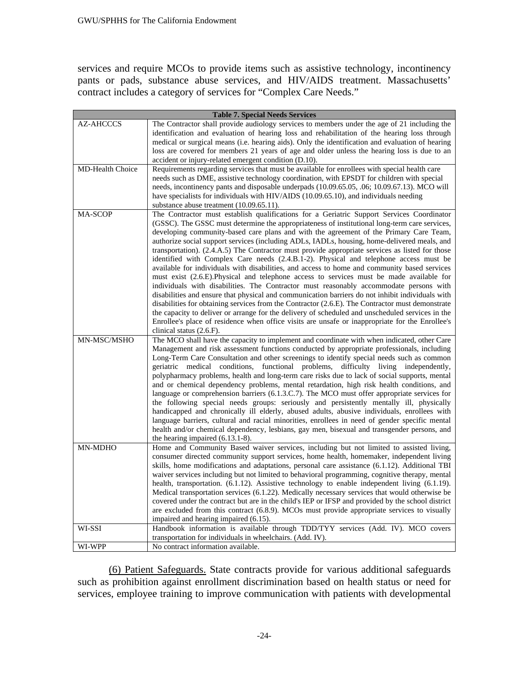services and require MCOs to provide items such as assistive technology, incontinency pants or pads, substance abuse services, and HIV/AIDS treatment. Massachusetts' contract includes a category of services for "Complex Care Needs."

| <b>Table 7. Special Needs Services</b> |                                                                                                                                                                                           |
|----------------------------------------|-------------------------------------------------------------------------------------------------------------------------------------------------------------------------------------------|
| <b>AZ-AHCCCS</b>                       | The Contractor shall provide audiology services to members under the age of 21 including the                                                                                              |
|                                        | identification and evaluation of hearing loss and rehabilitation of the hearing loss through                                                                                              |
|                                        | medical or surgical means (i.e. hearing aids). Only the identification and evaluation of hearing                                                                                          |
|                                        | loss are covered for members 21 years of age and older unless the hearing loss is due to an                                                                                               |
|                                        | accident or injury-related emergent condition (D.10).                                                                                                                                     |
| MD-Health Choice                       | Requirements regarding services that must be available for enrollees with special health care                                                                                             |
|                                        | needs such as DME, assistive technology coordination, with EPSDT for children with special                                                                                                |
|                                        | needs, incontinency pants and disposable underpads (10.09.65.05, .06; 10.09.67.13). MCO will                                                                                              |
|                                        | have specialists for individuals with HIV/AIDS (10.09.65.10), and individuals needing<br>substance abuse treatment (10.09.65.11).                                                         |
| <b>MA-SCOP</b>                         | The Contractor must establish qualifications for a Geriatric Support Services Coordinator                                                                                                 |
|                                        | (GSSC). The GSSC must determine the appropriateness of institutional long-term care services,                                                                                             |
|                                        | developing community-based care plans and with the agreement of the Primary Care Team,                                                                                                    |
|                                        | authorize social support services (including ADLs, IADLs, housing, home-delivered meals, and                                                                                              |
|                                        | transportation). (2.4.A.5) The Contractor must provide appropriate services as listed for those                                                                                           |
|                                        | identified with Complex Care needs (2.4.B.1-2). Physical and telephone access must be                                                                                                     |
|                                        | available for individuals with disabilities, and access to home and community based services                                                                                              |
|                                        | must exist (2.6.E).Physical and telephone access to services must be made available for                                                                                                   |
|                                        | individuals with disabilities. The Contractor must reasonably accommodate persons with                                                                                                    |
|                                        | disabilities and ensure that physical and communication barriers do not inhibit individuals with                                                                                          |
|                                        | disabilities for obtaining services from the Contractor (2.6.E). The Contractor must demonstrate                                                                                          |
|                                        | the capacity to deliver or arrange for the delivery of scheduled and unscheduled services in the                                                                                          |
|                                        | Enrollee's place of residence when office visits are unsafe or inappropriate for the Enrollee's                                                                                           |
|                                        | clinical status (2.6.F).                                                                                                                                                                  |
| MN-MSC/MSHO                            | The MCO shall have the capacity to implement and coordinate with when indicated, other Care                                                                                               |
|                                        | Management and risk assessment functions conducted by appropriate professionals, including<br>Long-Term Care Consultation and other screenings to identify special needs such as common   |
|                                        | geriatric medical conditions, functional problems, difficulty living independently,                                                                                                       |
|                                        | polypharmacy problems, health and long-term care risks due to lack of social supports, mental                                                                                             |
|                                        | and or chemical dependency problems, mental retardation, high risk health conditions, and                                                                                                 |
|                                        | language or comprehension barriers (6.1.3.C.7). The MCO must offer appropriate services for                                                                                               |
|                                        | the following special needs groups: seriously and persistently mentally ill, physically                                                                                                   |
|                                        | handicapped and chronically ill elderly, abused adults, abusive individuals, enrollees with                                                                                               |
|                                        | language barriers, cultural and racial minorities, enrollees in need of gender specific mental                                                                                            |
|                                        | health and/or chemical dependency, lesbians, gay men, bisexual and transgender persons, and                                                                                               |
|                                        | the hearing impaired (6.13.1-8).                                                                                                                                                          |
| MN-MDHO                                | Home and Community Based waiver services, including but not limited to assisted living,                                                                                                   |
|                                        | consumer directed community support services, home health, homemaker, independent living<br>skills, home modifications and adaptations, personal care assistance (6.1.12). Additional TBI |
|                                        | waiver services including but not limited to behavioral programming, cognitive therapy, mental                                                                                            |
|                                        | health, transportation. (6.1.12). Assistive technology to enable independent living (6.1.19).                                                                                             |
|                                        | Medical transportation services (6.1.22). Medically necessary services that would otherwise be                                                                                            |
|                                        | covered under the contract but are in the child's IEP or IFSP and provided by the school district                                                                                         |
|                                        | are excluded from this contract (6.8.9). MCOs must provide appropriate services to visually                                                                                               |
|                                        | impaired and hearing impaired (6.15).                                                                                                                                                     |
| WI-SSI                                 | Handbook information is available through TDD/TYY services (Add. IV). MCO covers                                                                                                          |
|                                        | transportation for individuals in wheelchairs. (Add. IV).                                                                                                                                 |
| WI-WPP                                 | No contract information available.                                                                                                                                                        |

(6) Patient Safeguards. State contracts provide for various additional safeguards such as prohibition against enrollment discrimination based on health status or need for services, employee training to improve communication with patients with developmental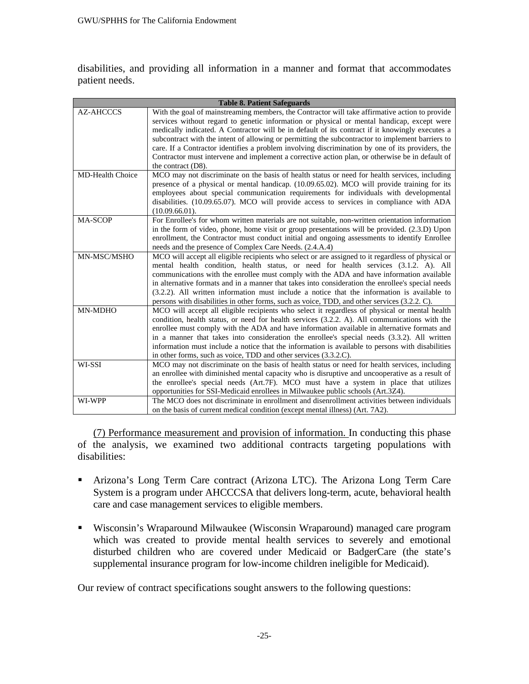disabilities, and providing all information in a manner and format that accommodates patient needs.

| <b>Table 8. Patient Safeguards</b> |                                                                                                                                                                                                                                                                                                                                                                                                                                                                                                                                                                                                                                  |
|------------------------------------|----------------------------------------------------------------------------------------------------------------------------------------------------------------------------------------------------------------------------------------------------------------------------------------------------------------------------------------------------------------------------------------------------------------------------------------------------------------------------------------------------------------------------------------------------------------------------------------------------------------------------------|
| <b>AZ-AHCCCS</b>                   | With the goal of mainstreaming members, the Contractor will take affirmative action to provide<br>services without regard to genetic information or physical or mental handicap, except were<br>medically indicated. A Contractor will be in default of its contract if it knowingly executes a<br>subcontract with the intent of allowing or permitting the subcontractor to implement barriers to<br>care. If a Contractor identifies a problem involving discrimination by one of its providers, the<br>Contractor must intervene and implement a corrective action plan, or otherwise be in default of<br>the contract (D8). |
| <b>MD-Health Choice</b>            | MCO may not discriminate on the basis of health status or need for health services, including<br>presence of a physical or mental handicap. (10.09.65.02). MCO will provide training for its<br>employees about special communication requirements for individuals with developmental<br>disabilities. (10.09.65.07). MCO will provide access to services in compliance with ADA<br>$(10.09.66.01)$ .                                                                                                                                                                                                                            |
| MA-SCOP                            | For Enrollee's for whom written materials are not suitable, non-written orientation information<br>in the form of video, phone, home visit or group presentations will be provided. (2.3.D) Upon<br>enrollment, the Contractor must conduct initial and ongoing assessments to identify Enrollee<br>needs and the presence of Complex Care Needs. (2.4.A.4)                                                                                                                                                                                                                                                                      |
| MN-MSC/MSHO                        | MCO will accept all eligible recipients who select or are assigned to it regardless of physical or<br>mental health condition, health status, or need for health services (3.1.2. A). All<br>communications with the enrollee must comply with the ADA and have information available<br>in alternative formats and in a manner that takes into consideration the enrollee's special needs<br>(3.2.2). All written information must include a notice that the information is available to<br>persons with disabilities in other forms, such as voice, TDD, and other services (3.2.2. C).                                        |
| MN-MDHO                            | MCO will accept all eligible recipients who select it regardless of physical or mental health<br>condition, health status, or need for health services (3.2.2. A). All communications with the<br>enrollee must comply with the ADA and have information available in alternative formats and<br>in a manner that takes into consideration the enrollee's special needs $(3.3.2)$ . All written<br>information must include a notice that the information is available to persons with disabilities<br>in other forms, such as voice, TDD and other services (3.3.2.C).                                                          |
| WI-SSI                             | MCO may not discriminate on the basis of health status or need for health services, including<br>an enrollee with diminished mental capacity who is disruptive and uncooperative as a result of<br>the enrollee's special needs (Art.7F). MCO must have a system in place that utilizes<br>opportunities for SSI-Medicaid enrollees in Milwaukee public schools (Art.3Z4).                                                                                                                                                                                                                                                       |
| WI-WPP                             | The MCO does not discriminate in enrollment and disenrollment activities between individuals<br>on the basis of current medical condition (except mental illness) (Art. 7A2).                                                                                                                                                                                                                                                                                                                                                                                                                                                    |

(7) Performance measurement and provision of information. In conducting this phase of the analysis, we examined two additional contracts targeting populations with disabilities:

- Arizona's Long Term Care contract (Arizona LTC). The Arizona Long Term Care System is a program under AHCCCSA that delivers long-term, acute, behavioral health care and case management services to eligible members.
- Wisconsin's Wraparound Milwaukee (Wisconsin Wraparound) managed care program which was created to provide mental health services to severely and emotional disturbed children who are covered under Medicaid or BadgerCare (the state's supplemental insurance program for low-income children ineligible for Medicaid).

Our review of contract specifications sought answers to the following questions: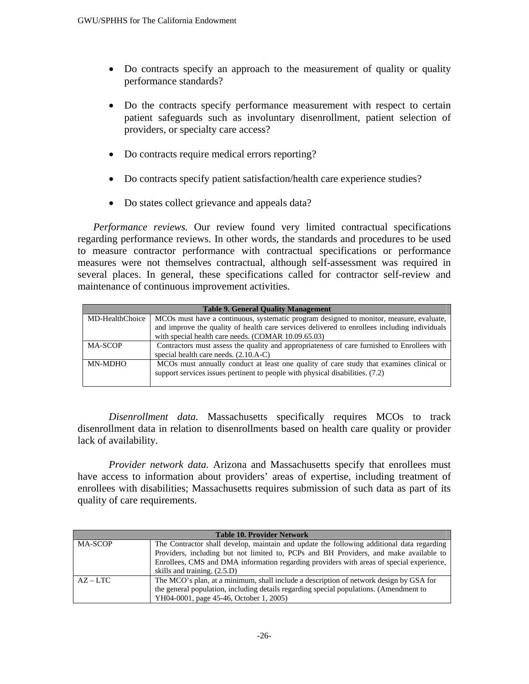- Do contracts specify an approach to the measurement of quality or quality performance standards?
- Do the contracts specify performance measurement with respect to certain patient safeguards such as involuntary disenrollment, patient selection of providers, or specialty care access?
- Do contracts require medical errors reporting?
- Do contracts specify patient satisfaction/health care experience studies?
- Do states collect grievance and appeals data?

*Performance reviews.* Our review found very limited contractual specifications regarding performance reviews. In other words, the standards and procedures to be used to measure contractor performance with contractual specifications or performance measures were not themselves contractual, although self-assessment was required in several places. In general, these specifications called for contractor self-review and maintenance of continuous improvement activities.

| <b>Table 9. General Quality Management</b> |                                                                                              |
|--------------------------------------------|----------------------------------------------------------------------------------------------|
| MD-HealthChoice                            | MCOs must have a continuous, systematic program designed to monitor, measure, evaluate,      |
|                                            | and improve the quality of health care services delivered to enrollees including individuals |
|                                            | with special health care needs. (COMAR 10.09.65.03)                                          |
| <b>MA-SCOP</b>                             | Contractors must assess the quality and appropriateness of care furnished to Enrollees with  |
|                                            | special health care needs. $(2.10.A-C)$                                                      |
| MN-MDHO                                    | MCOs must annually conduct at least one quality of care study that examines clinical or      |
|                                            | support services issues pertinent to people with physical disabilities. (7.2)                |
|                                            |                                                                                              |

*Disenrollment data.* Massachusetts specifically requires MCOs to track disenrollment data in relation to disenrollments based on health care quality or provider lack of availability.

*Provider network data.* Arizona and Massachusetts specify that enrollees must have access to information about providers' areas of expertise, including treatment of enrollees with disabilities; Massachusetts requires submission of such data as part of its quality of care requirements.

| <b>Table 10. Provider Network</b> |                                                                                           |  |
|-----------------------------------|-------------------------------------------------------------------------------------------|--|
| <b>MA-SCOP</b>                    | The Contractor shall develop, maintain and update the following additional data regarding |  |
|                                   | Providers, including but not limited to, PCPs and BH Providers, and make available to     |  |
|                                   | Enrollees, CMS and DMA information regarding providers with areas of special experience,  |  |
|                                   | skills and training. (2.5.D)                                                              |  |
| $AZ-LTC$                          | The MCO's plan, at a minimum, shall include a description of network design by GSA for    |  |
|                                   | the general population, including details regarding special populations. (Amendment to    |  |
|                                   | YH04-0001, page 45-46, October 1, 2005)                                                   |  |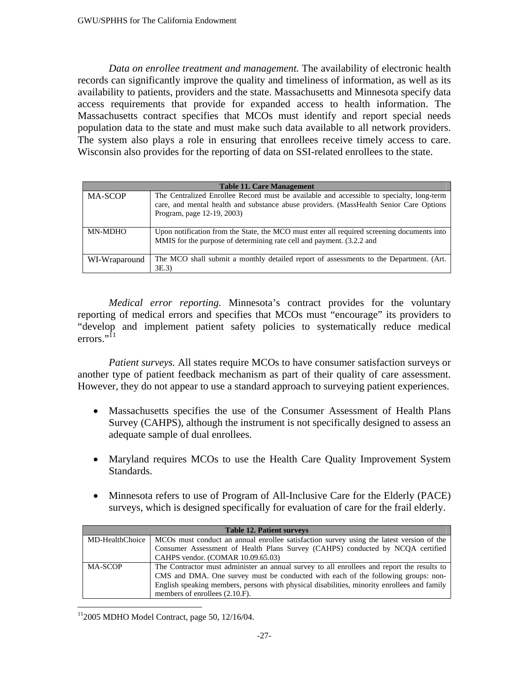*Data on enrollee treatment and management.* The availability of electronic health records can significantly improve the quality and timeliness of information, as well as its availability to patients, providers and the state. Massachusetts and Minnesota specify data access requirements that provide for expanded access to health information. The Massachusetts contract specifies that MCOs must identify and report special needs population data to the state and must make such data available to all network providers. The system also plays a role in ensuring that enrollees receive timely access to care. Wisconsin also provides for the reporting of data on SSI-related enrollees to the state.

| <b>Table 11. Care Management</b> |                                                                                                                                                                                                                  |
|----------------------------------|------------------------------------------------------------------------------------------------------------------------------------------------------------------------------------------------------------------|
| <b>MA-SCOP</b>                   | The Centralized Enrollee Record must be available and accessible to specialty, long-term<br>care, and mental health and substance abuse providers. (MassHealth Senior Care Options<br>Program, page 12-19, 2003) |
| MN-MDHO                          | Upon notification from the State, the MCO must enter all required screening documents into<br>MMIS for the purpose of determining rate cell and payment. (3.2.2 and                                              |
| WI-Wraparound                    | The MCO shall submit a monthly detailed report of assessments to the Department. (Art.<br>3E.3                                                                                                                   |

*Medical error reporting.* Minnesota's contract provides for the voluntary reporting of medical errors and specifies that MCOs must "encourage" its providers to "develop and implement patient safety policies to systematically reduce medical errors." $^{11}$ 

*Patient surveys.* All states require MCOs to have consumer satisfaction surveys or another type of patient feedback mechanism as part of their quality of care assessment. However, they do not appear to use a standard approach to surveying patient experiences.

- Massachusetts specifies the use of the Consumer Assessment of Health Plans Survey (CAHPS), although the instrument is not specifically designed to assess an adequate sample of dual enrollees.
- Maryland requires MCOs to use the Health Care Quality Improvement System Standards.
- Minnesota refers to use of Program of All-Inclusive Care for the Elderly (PACE) surveys, which is designed specifically for evaluation of care for the frail elderly.

| <b>Table 12. Patient surveys</b> |                                                                                             |  |
|----------------------------------|---------------------------------------------------------------------------------------------|--|
| MD-HealthChoice                  | MCOs must conduct an annual enrollee satisfaction survey using the latest version of the    |  |
|                                  | Consumer Assessment of Health Plans Survey (CAHPS) conducted by NCQA certified              |  |
|                                  | CAHPS vendor. (COMAR 10.09.65.03)                                                           |  |
| <b>MA-SCOP</b>                   | The Contractor must administer an annual survey to all enrollees and report the results to  |  |
|                                  | CMS and DMA. One survey must be conducted with each of the following groups: non-           |  |
|                                  | English speaking members, persons with physical disabilities, minority enrollees and family |  |
|                                  | members of enrollees (2.10.F).                                                              |  |

 $112005$  MDHO Model Contract, page 50, 12/16/04.

 $\overline{a}$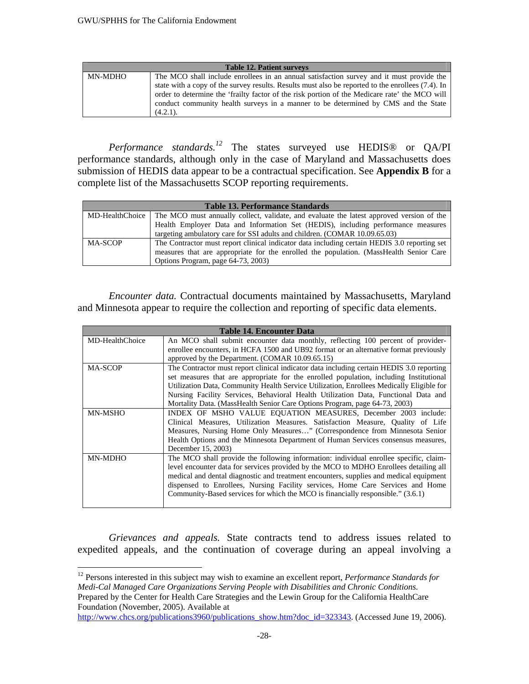| <b>Table 12. Patient surveys</b> |                                                                                                                                                                                                                                                                                                         |  |
|----------------------------------|---------------------------------------------------------------------------------------------------------------------------------------------------------------------------------------------------------------------------------------------------------------------------------------------------------|--|
| MN-MDHO                          | The MCO shall include enrollees in an annual satisfaction survey and it must provide the                                                                                                                                                                                                                |  |
|                                  | state with a copy of the survey results. Results must also be reported to the enrollees (7.4). In<br>order to determine the 'frailty factor of the risk portion of the Medicare rate' the MCO will<br>conduct community health surveys in a manner to be determined by CMS and the State<br>$(4.2.1)$ . |  |

*Performance standards.12* The states surveyed use HEDIS® or QA/PI performance standards, although only in the case of Maryland and Massachusetts does submission of HEDIS data appear to be a contractual specification. See **Appendix B** for a complete list of the Massachusetts SCOP reporting requirements.

| <b>Table 13. Performance Standards</b> |                                                                                                          |
|----------------------------------------|----------------------------------------------------------------------------------------------------------|
|                                        | MD-HealthChoice The MCO must annually collect, validate, and evaluate the latest approved version of the |
|                                        | Health Employer Data and Information Set (HEDIS), including performance measures                         |
|                                        | targeting ambulatory care for SSI adults and children. (COMAR 10.09.65.03)                               |
| <b>MA-SCOP</b>                         | The Contractor must report clinical indicator data including certain HEDIS 3.0 reporting set             |
|                                        | measures that are appropriate for the enrolled the population. (MassHealth Senior Care                   |
|                                        | Options Program, page 64-73, 2003)                                                                       |

*Encounter data.* Contractual documents maintained by Massachusetts, Maryland and Minnesota appear to require the collection and reporting of specific data elements.

| <b>Table 14. Encounter Data</b> |                                                                                                                                                                                                                                                                                                                                                                                                                                                    |  |
|---------------------------------|----------------------------------------------------------------------------------------------------------------------------------------------------------------------------------------------------------------------------------------------------------------------------------------------------------------------------------------------------------------------------------------------------------------------------------------------------|--|
| MD-HealthChoice                 | An MCO shall submit encounter data monthly, reflecting 100 percent of provider-<br>enrollee encounters, in HCFA 1500 and UB92 format or an alternative format previously                                                                                                                                                                                                                                                                           |  |
|                                 | approved by the Department. (COMAR 10.09.65.15)                                                                                                                                                                                                                                                                                                                                                                                                    |  |
| <b>MA-SCOP</b>                  | The Contractor must report clinical indicator data including certain HEDIS 3.0 reporting<br>set measures that are appropriate for the enrolled population, including Institutional<br>Utilization Data, Community Health Service Utilization, Enrollees Medically Eligible for<br>Nursing Facility Services, Behavioral Health Utilization Data, Functional Data and<br>Mortality Data. (MassHealth Senior Care Options Program, page 64-73, 2003) |  |
| MN-MSHO                         | INDEX OF MSHO VALUE EQUATION MEASURES, December 2003 include:<br>Clinical Measures, Utilization Measures. Satisfaction Measure, Quality of Life<br>Measures, Nursing Home Only Measures" (Correspondence from Minnesota Senior<br>Health Options and the Minnesota Department of Human Services consensus measures,<br>December 15, 2003)                                                                                                          |  |
| <b>MN-MDHO</b>                  | The MCO shall provide the following information: individual enrollee specific, claim-<br>level encounter data for services provided by the MCO to MDHO Enrollees detailing all<br>medical and dental diagnostic and treatment encounters, supplies and medical equipment<br>dispensed to Enrollees, Nursing Facility services, Home Care Services and Home<br>Community-Based services for which the MCO is financially responsible." (3.6.1)      |  |

*Grievances and appeals.* State contracts tend to address issues related to expedited appeals, and the continuation of coverage during an appeal involving a

 $\overline{a}$ 

<sup>12</sup> Persons interested in this subject may wish to examine an excellent report, *Performance Standards for Medi-Cal Managed Care Organizations Serving People with Disabilities and Chronic Conditions.*  Prepared by the Center for Health Care Strategies and the Lewin Group for the California HealthCare Foundation (November, 2005). Available at

http://www.chcs.org/publications3960/publications\_show.htm?doc\_id=323343. (Accessed June 19, 2006).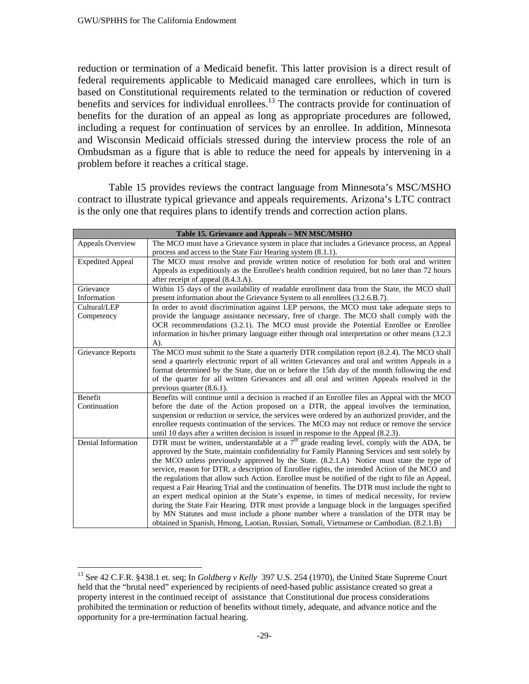$\overline{a}$ 

reduction or termination of a Medicaid benefit. This latter provision is a direct result of federal requirements applicable to Medicaid managed care enrollees, which in turn is based on Constitutional requirements related to the termination or reduction of covered benefits and services for individual enrollees.<sup>13</sup> The contracts provide for continuation of benefits for the duration of an appeal as long as appropriate procedures are followed, including a request for continuation of services by an enrollee. In addition, Minnesota and Wisconsin Medicaid officials stressed during the interview process the role of an Ombudsman as a figure that is able to reduce the need for appeals by intervening in a problem before it reaches a critical stage.

Table 15 provides reviews the contract language from Minnesota's MSC/MSHO contract to illustrate typical grievance and appeals requirements. Arizona's LTC contract is the only one that requires plans to identify trends and correction action plans.

| Table 15. Grievance and Appeals - MN MSC/MSHO |                                                                                                                                                                                           |  |
|-----------------------------------------------|-------------------------------------------------------------------------------------------------------------------------------------------------------------------------------------------|--|
| Appeals Overview                              | The MCO must have a Grievance system in place that includes a Grievance process, an Appeal                                                                                                |  |
|                                               | process and access to the State Fair Hearing system (8.1.1).                                                                                                                              |  |
| <b>Expedited Appeal</b>                       | The MCO must resolve and provide written notice of resolution for both oral and written                                                                                                   |  |
|                                               | Appeals as expeditiously as the Enrollee's health condition required, but no later than 72 hours                                                                                          |  |
|                                               | after receipt of appeal (8.4.3.A).                                                                                                                                                        |  |
| Grievance                                     | Within 15 days of the availability of readable enrollment data from the State, the MCO shall                                                                                              |  |
| Information                                   | present information about the Grievance System to all enrollees (3.2.6.B.7).                                                                                                              |  |
| Cultural/LEP                                  | In order to avoid discrimination against LEP persons, the MCO must take adequate steps to                                                                                                 |  |
| Competency                                    | provide the language assistance necessary, free of charge. The MCO shall comply with the                                                                                                  |  |
|                                               | OCR recommendations (3.2.1). The MCO must provide the Potential Enrollee or Enrollee                                                                                                      |  |
|                                               | information in his/her primary language either through oral interpretation or other means (3.2.3)                                                                                         |  |
|                                               | $A)$ .                                                                                                                                                                                    |  |
| Grievance Reports                             | The MCO must submit to the State a quarterly DTR compilation report (8.2.4). The MCO shall                                                                                                |  |
|                                               | send a quarterly electronic report of all written Grievances and oral and written Appeals in a                                                                                            |  |
|                                               | format determined by the State, due on or before the 15th day of the month following the end                                                                                              |  |
|                                               | of the quarter for all written Grievances and all oral and written Appeals resolved in the                                                                                                |  |
|                                               | previous quarter $(8.6.1)$ .                                                                                                                                                              |  |
| Benefit                                       | Benefits will continue until a decision is reached if an Enrollee files an Appeal with the MCO                                                                                            |  |
| Continuation                                  | before the date of the Action proposed on a DTR, the appeal involves the termination,                                                                                                     |  |
|                                               | suspension or reduction or service, the services were ordered by an authorized provider, and the                                                                                          |  |
|                                               | enrollee requests continuation of the services. The MCO may not reduce or remove the service                                                                                              |  |
|                                               | until 10 days after a written decision is issued in response to the Appeal (8.2.3).                                                                                                       |  |
| Denial Information                            | DTR must be written, understandable at a $7th$ grade reading level, comply with the ADA, be                                                                                               |  |
|                                               | approved by the State, maintain confidentiality for Family Planning Services and sent solely by                                                                                           |  |
|                                               | the MCO unless previously approved by the State. (8.2.1.A) Notice must state the type of<br>service, reason for DTR, a description of Enrollee rights, the intended Action of the MCO and |  |
|                                               | the regulations that allow such Action. Enrollee must be notified of the right to file an Appeal,                                                                                         |  |
|                                               | request a Fair Hearing Trial and the continuation of benefits. The DTR must include the right to                                                                                          |  |
|                                               | an expert medical opinion at the State's expense, in times of medical necessity, for review                                                                                               |  |
|                                               | during the State Fair Hearing. DTR must provide a language block in the languages specified                                                                                               |  |
|                                               | by MN Statutes and must include a phone number where a translation of the DTR may be                                                                                                      |  |
|                                               | obtained in Spanish, Hmong, Laotian, Russian, Somali, Vietnamese or Cambodian. (8.2.1.B)                                                                                                  |  |

<sup>13</sup> See 42 C.F.R. §438.1 et. seq; In *Goldberg v Kelly* 397 U.S. 254 (1970), the United State Supreme Court held that the "brutal need" experienced by recipients of need-based public assistance created so great a property interest in the continued receipt of assistance that Constitutional due process considerations prohibited the termination or reduction of benefits without timely, adequate, and advance notice and the opportunity for a pre-termination factual hearing.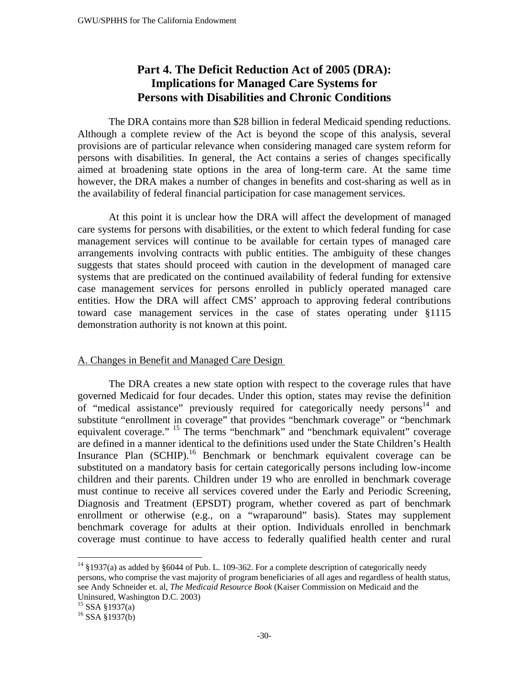## **Part 4. The Deficit Reduction Act of 2005 (DRA): Implications for Managed Care Systems for Persons with Disabilities and Chronic Conditions**

 The DRA contains more than \$28 billion in federal Medicaid spending reductions. Although a complete review of the Act is beyond the scope of this analysis, several provisions are of particular relevance when considering managed care system reform for persons with disabilities. In general, the Act contains a series of changes specifically aimed at broadening state options in the area of long-term care. At the same time however, the DRA makes a number of changes in benefits and cost-sharing as well as in the availability of federal financial participation for case management services.

At this point it is unclear how the DRA will affect the development of managed care systems for persons with disabilities, or the extent to which federal funding for case management services will continue to be available for certain types of managed care arrangements involving contracts with public entities. The ambiguity of these changes suggests that states should proceed with caution in the development of managed care systems that are predicated on the continued availability of federal funding for extensive case management services for persons enrolled in publicly operated managed care entities. How the DRA will affect CMS' approach to approving federal contributions toward case management services in the case of states operating under §1115 demonstration authority is not known at this point.

## A. Changes in Benefit and Managed Care Design

 The DRA creates a new state option with respect to the coverage rules that have governed Medicaid for four decades. Under this option, states may revise the definition of "medical assistance" previously required for categorically needy persons $14$  and substitute "enrollment in coverage" that provides "benchmark coverage" or "benchmark equivalent coverage." <sup>15</sup> The terms "benchmark" and "benchmark equivalent" coverage are defined in a manner identical to the definitions used under the State Children's Health Insurance Plan (SCHIP).<sup>16</sup> Benchmark or benchmark equivalent coverage can be substituted on a mandatory basis for certain categorically persons including low-income children and their parents. Children under 19 who are enrolled in benchmark coverage must continue to receive all services covered under the Early and Periodic Screening, Diagnosis and Treatment (EPSDT) program, whether covered as part of benchmark enrollment or otherwise (e.g., on a "wraparound" basis). States may supplement benchmark coverage for adults at their option. Individuals enrolled in benchmark coverage must continue to have access to federally qualified health center and rural

 $\overline{a}$ 

 $14$  §1937(a) as added by §6044 of Pub. L. 109-362. For a complete description of categorically needy persons, who comprise the vast majority of program beneficiaries of all ages and regardless of health status, see Andy Schneider et. al, *The Medicaid Resource Book* (Kaiser Commission on Medicaid and the Uninsured, Washington D.C. 2003)

<sup>15</sup> SSA §1937(a)

 $16$  SSA §1937(b)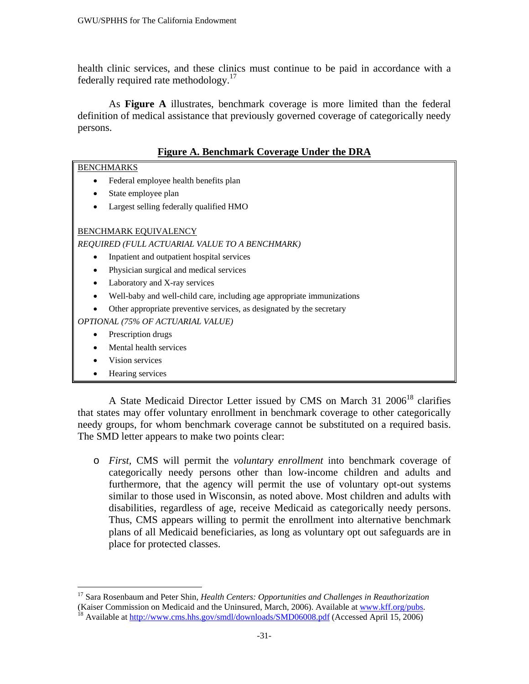health clinic services, and these clinics must continue to be paid in accordance with a federally required rate methodology.<sup>17</sup>

 As **Figure A** illustrates, benchmark coverage is more limited than the federal definition of medical assistance that previously governed coverage of categorically needy persons.

### **Figure A. Benchmark Coverage Under the DRA**

#### BENCHMARKS

- Federal employee health benefits plan
- State employee plan
- Largest selling federally qualified HMO

#### BENCHMARK EQUIVALENCY

*REQUIRED (FULL ACTUARIAL VALUE TO A BENCHMARK)* 

- Inpatient and outpatient hospital services
- Physician surgical and medical services
- Laboratory and X-ray services
- Well-baby and well-child care, including age appropriate immunizations
- Other appropriate preventive services, as designated by the secretary

*OPTIONAL (75% OF ACTUARIAL VALUE)* 

- Prescription drugs
- Mental health services
- Vision services
- Hearing services

A State Medicaid Director Letter issued by CMS on March 31 2006<sup>18</sup> clarifies that states may offer voluntary enrollment in benchmark coverage to other categorically needy groups, for whom benchmark coverage cannot be substituted on a required basis. The SMD letter appears to make two points clear:

o *First,* CMS will permit the *voluntary enrollment* into benchmark coverage of categorically needy persons other than low-income children and adults and furthermore, that the agency will permit the use of voluntary opt-out systems similar to those used in Wisconsin, as noted above. Most children and adults with disabilities, regardless of age, receive Medicaid as categorically needy persons. Thus, CMS appears willing to permit the enrollment into alternative benchmark plans of all Medicaid beneficiaries, as long as voluntary opt out safeguards are in place for protected classes.

 $\overline{a}$ 17 Sara Rosenbaum and Peter Shin, *Health Centers: Opportunities and Challenges in Reauthorization*  (Kaiser Commission on Medicaid and the Uninsured, March, 2006). Available at www.kff.org/pubs.<br><sup>18</sup> Available at http://www.cms.hhs.gov/smdl/downloads/SMD06008.pdf (Accessed April 15, 2006)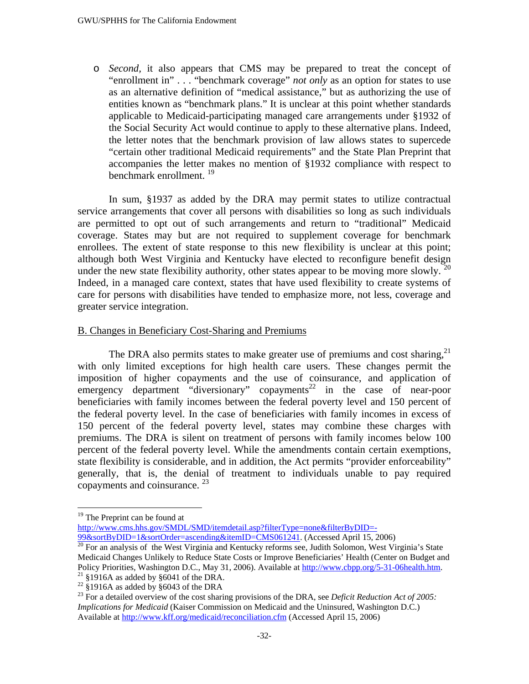o *Second,* it also appears that CMS may be prepared to treat the concept of "enrollment in" . . . "benchmark coverage" *not only* as an option for states to use as an alternative definition of "medical assistance," but as authorizing the use of entities known as "benchmark plans." It is unclear at this point whether standards applicable to Medicaid-participating managed care arrangements under §1932 of the Social Security Act would continue to apply to these alternative plans. Indeed, the letter notes that the benchmark provision of law allows states to supercede "certain other traditional Medicaid requirements" and the State Plan Preprint that accompanies the letter makes no mention of §1932 compliance with respect to benchmark enrollment.<sup>19</sup>

In sum, §1937 as added by the DRA may permit states to utilize contractual service arrangements that cover all persons with disabilities so long as such individuals are permitted to opt out of such arrangements and return to "traditional" Medicaid coverage. States may but are not required to supplement coverage for benchmark enrollees. The extent of state response to this new flexibility is unclear at this point; although both West Virginia and Kentucky have elected to reconfigure benefit design under the new state flexibility authority, other states appear to be moving more slowly.  $20$ Indeed, in a managed care context, states that have used flexibility to create systems of care for persons with disabilities have tended to emphasize more, not less, coverage and greater service integration.

#### B. Changes in Beneficiary Cost-Sharing and Premiums

The DRA also permits states to make greater use of premiums and cost sharing, $^{21}$ with only limited exceptions for high health care users. These changes permit the imposition of higher copayments and the use of coinsurance, and application of emergency department "diversionary" copayments<sup>22</sup> in the case of near-poor beneficiaries with family incomes between the federal poverty level and 150 percent of the federal poverty level. In the case of beneficiaries with family incomes in excess of 150 percent of the federal poverty level, states may combine these charges with premiums. The DRA is silent on treatment of persons with family incomes below 100 percent of the federal poverty level. While the amendments contain certain exemptions, state flexibility is considerable, and in addition, the Act permits "provider enforceability" generally, that is, the denial of treatment to individuals unable to pay required copayments and coinsurance.  $^{23}$ 

1

http://www.cms.hhs.gov/SMDL/SMD/itemdetail.asp?filterType=none&filterByDID=-<br>99&sortByDID=1&sortOrder=ascending&itemID=CMS061241. (Accessed April 15, 2006)

<sup>&</sup>lt;sup>19</sup> The Preprint can be found at

 $\frac{1}{20}$  For an analysis of the West Virginia and Kentucky reforms see, Judith Solomon, West Virginia's State Medicaid Changes Unlikely to Reduce State Costs or Improve Beneficiaries' Health (Center on Budget and Policy Priorities, Washington D.C., May 31, 2006). Available at http://www.cbpp.org/5-31-06health.htm. <sup>21</sup> §1916A as added by §6041 of the DRA.

 $22 \times 1916A$  as added by  $6043$  of the DRA

<sup>&</sup>lt;sup>23</sup> For a detailed overview of the cost sharing provisions of the DRA, see *Deficit Reduction Act of 2005: Implications for Medicaid* (Kaiser Commission on Medicaid and the Uninsured, Washington D.C.) Available at http://www.kff.org/medicaid/reconciliation.cfm (Accessed April 15, 2006)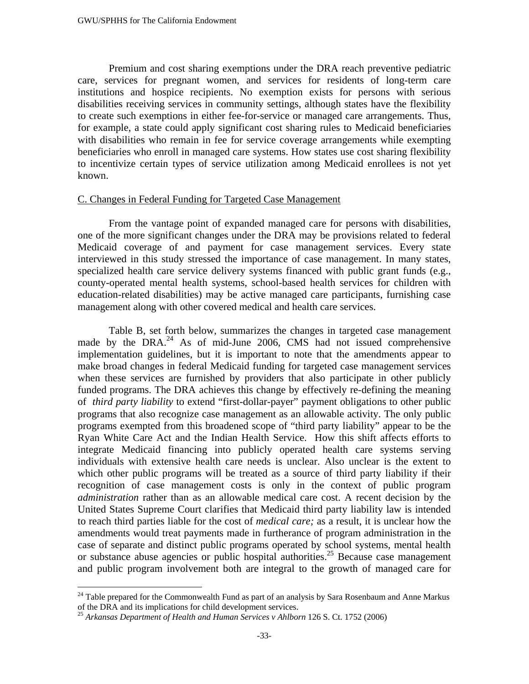Premium and cost sharing exemptions under the DRA reach preventive pediatric care, services for pregnant women, and services for residents of long-term care institutions and hospice recipients. No exemption exists for persons with serious disabilities receiving services in community settings, although states have the flexibility to create such exemptions in either fee-for-service or managed care arrangements. Thus, for example, a state could apply significant cost sharing rules to Medicaid beneficiaries with disabilities who remain in fee for service coverage arrangements while exempting beneficiaries who enroll in managed care systems. How states use cost sharing flexibility to incentivize certain types of service utilization among Medicaid enrollees is not yet known.

#### C. Changes in Federal Funding for Targeted Case Management

 From the vantage point of expanded managed care for persons with disabilities, one of the more significant changes under the DRA may be provisions related to federal Medicaid coverage of and payment for case management services. Every state interviewed in this study stressed the importance of case management. In many states, specialized health care service delivery systems financed with public grant funds (e.g., county-operated mental health systems, school-based health services for children with education-related disabilities) may be active managed care participants, furnishing case management along with other covered medical and health care services.

 Table B, set forth below, summarizes the changes in targeted case management made by the DRA. $^{24}$  As of mid-June 2006, CMS had not issued comprehensive implementation guidelines, but it is important to note that the amendments appear to make broad changes in federal Medicaid funding for targeted case management services when these services are furnished by providers that also participate in other publicly funded programs. The DRA achieves this change by effectively re-defining the meaning of *third party liability* to extend "first-dollar-payer" payment obligations to other public programs that also recognize case management as an allowable activity. The only public programs exempted from this broadened scope of "third party liability" appear to be the Ryan White Care Act and the Indian Health Service. How this shift affects efforts to integrate Medicaid financing into publicly operated health care systems serving individuals with extensive health care needs is unclear. Also unclear is the extent to which other public programs will be treated as a source of third party liability if their recognition of case management costs is only in the context of public program *administration* rather than as an allowable medical care cost. A recent decision by the United States Supreme Court clarifies that Medicaid third party liability law is intended to reach third parties liable for the cost of *medical care;* as a result, it is unclear how the amendments would treat payments made in furtherance of program administration in the case of separate and distinct public programs operated by school systems, mental health or substance abuse agencies or public hospital authorities.25 Because case management and public program involvement both are integral to the growth of managed care for

 $\overline{a}$ 

 $24$  Table prepared for the Commonwealth Fund as part of an analysis by Sara Rosenbaum and Anne Markus of the DRA and its implications for child development services.

<sup>&</sup>lt;sup>25</sup> Arkansas Department of Health and Human Services v Ahlborn 126 S. Ct. 1752 (2006)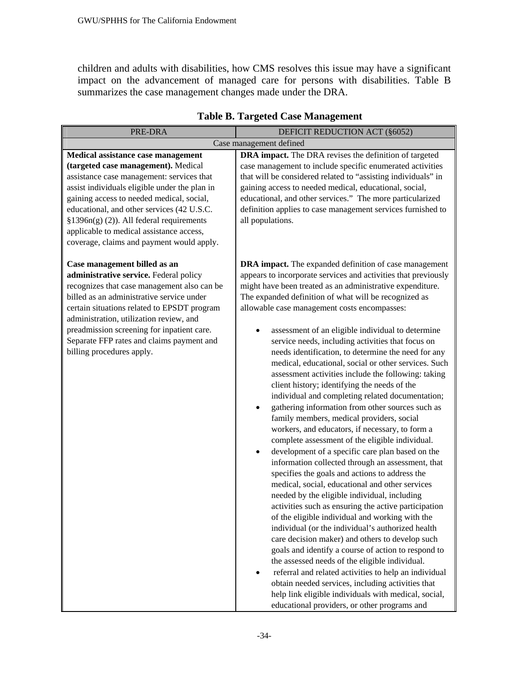children and adults with disabilities, how CMS resolves this issue may have a significant impact on the advancement of managed care for persons with disabilities. Table B summarizes the case management changes made under the DRA.

| PRE-DRA                                                                                                                                                                                                                                                                                                                                                                                                    | DEFICIT REDUCTION ACT (§6052)                                                                                                                                                                                                                                                                                                                                                                                                                                                                                                                                                                                                                                                                                                                                                                                                                                                                                                                                                                                                                                                                                                                                                                                                                                                                                                                                                                                                                                                                                                                                                                                                                                                                                                                   |
|------------------------------------------------------------------------------------------------------------------------------------------------------------------------------------------------------------------------------------------------------------------------------------------------------------------------------------------------------------------------------------------------------------|-------------------------------------------------------------------------------------------------------------------------------------------------------------------------------------------------------------------------------------------------------------------------------------------------------------------------------------------------------------------------------------------------------------------------------------------------------------------------------------------------------------------------------------------------------------------------------------------------------------------------------------------------------------------------------------------------------------------------------------------------------------------------------------------------------------------------------------------------------------------------------------------------------------------------------------------------------------------------------------------------------------------------------------------------------------------------------------------------------------------------------------------------------------------------------------------------------------------------------------------------------------------------------------------------------------------------------------------------------------------------------------------------------------------------------------------------------------------------------------------------------------------------------------------------------------------------------------------------------------------------------------------------------------------------------------------------------------------------------------------------|
|                                                                                                                                                                                                                                                                                                                                                                                                            | Case management defined                                                                                                                                                                                                                                                                                                                                                                                                                                                                                                                                                                                                                                                                                                                                                                                                                                                                                                                                                                                                                                                                                                                                                                                                                                                                                                                                                                                                                                                                                                                                                                                                                                                                                                                         |
| Medical assistance case management<br>(targeted case management). Medical<br>assistance case management: services that<br>assist individuals eligible under the plan in<br>gaining access to needed medical, social,<br>educational, and other services (42 U.S.C.<br>$$1396n(g) (2)$ ). All federal requirements<br>applicable to medical assistance access,<br>coverage, claims and payment would apply. | DRA impact. The DRA revises the definition of targeted<br>case management to include specific enumerated activities<br>that will be considered related to "assisting individuals" in<br>gaining access to needed medical, educational, social,<br>educational, and other services." The more particularized<br>definition applies to case management services furnished to<br>all populations.                                                                                                                                                                                                                                                                                                                                                                                                                                                                                                                                                                                                                                                                                                                                                                                                                                                                                                                                                                                                                                                                                                                                                                                                                                                                                                                                                  |
| Case management billed as an<br>administrative service. Federal policy<br>recognizes that case management also can be<br>billed as an administrative service under<br>certain situations related to EPSDT program<br>administration, utilization review, and<br>preadmission screening for inpatient care.<br>Separate FFP rates and claims payment and<br>billing procedures apply.                       | <b>DRA</b> impact. The expanded definition of case management<br>appears to incorporate services and activities that previously<br>might have been treated as an administrative expenditure.<br>The expanded definition of what will be recognized as<br>allowable case management costs encompasses:<br>assessment of an eligible individual to determine<br>٠<br>service needs, including activities that focus on<br>needs identification, to determine the need for any<br>medical, educational, social or other services. Such<br>assessment activities include the following: taking<br>client history; identifying the needs of the<br>individual and completing related documentation;<br>gathering information from other sources such as<br>$\bullet$<br>family members, medical providers, social<br>workers, and educators, if necessary, to form a<br>complete assessment of the eligible individual.<br>development of a specific care plan based on the<br>$\bullet$<br>information collected through an assessment, that<br>specifies the goals and actions to address the<br>medical, social, educational and other services<br>needed by the eligible individual, including<br>activities such as ensuring the active participation<br>of the eligible individual and working with the<br>individual (or the individual's authorized health<br>care decision maker) and others to develop such<br>goals and identify a course of action to respond to<br>the assessed needs of the eligible individual.<br>referral and related activities to help an individual<br>obtain needed services, including activities that<br>help link eligible individuals with medical, social,<br>educational providers, or other programs and |

## **Table B. Targeted Case Management**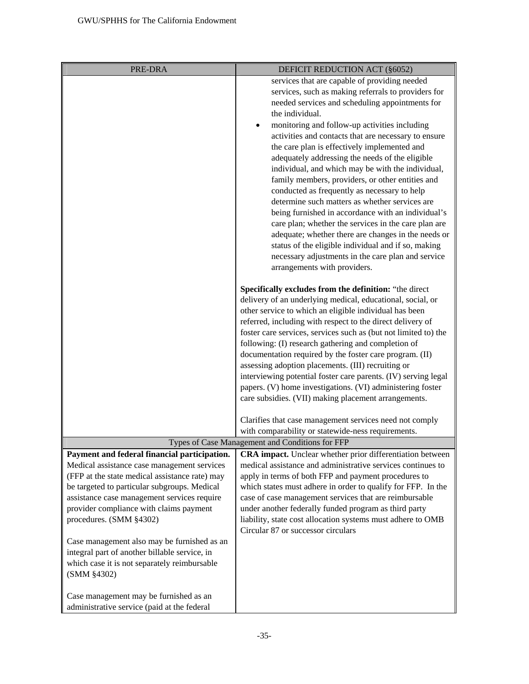| PRE-DRA                                                                                      | DEFICIT REDUCTION ACT (§6052)                                    |
|----------------------------------------------------------------------------------------------|------------------------------------------------------------------|
|                                                                                              | services that are capable of providing needed                    |
|                                                                                              | services, such as making referrals to providers for              |
|                                                                                              | needed services and scheduling appointments for                  |
|                                                                                              | the individual.                                                  |
|                                                                                              | monitoring and follow-up activities including                    |
|                                                                                              | activities and contacts that are necessary to ensure             |
|                                                                                              | the care plan is effectively implemented and                     |
|                                                                                              | adequately addressing the needs of the eligible                  |
|                                                                                              | individual, and which may be with the individual,                |
|                                                                                              | family members, providers, or other entities and                 |
|                                                                                              | conducted as frequently as necessary to help                     |
|                                                                                              | determine such matters as whether services are                   |
|                                                                                              | being furnished in accordance with an individual's               |
|                                                                                              | care plan; whether the services in the care plan are             |
|                                                                                              | adequate; whether there are changes in the needs or              |
|                                                                                              | status of the eligible individual and if so, making              |
|                                                                                              | necessary adjustments in the care plan and service               |
|                                                                                              | arrangements with providers.                                     |
|                                                                                              | Specifically excludes from the definition: "the direct           |
|                                                                                              | delivery of an underlying medical, educational, social, or       |
|                                                                                              | other service to which an eligible individual has been           |
|                                                                                              | referred, including with respect to the direct delivery of       |
|                                                                                              | foster care services, services such as (but not limited to) the  |
|                                                                                              | following: (I) research gathering and completion of              |
|                                                                                              | documentation required by the foster care program. (II)          |
|                                                                                              | assessing adoption placements. (III) recruiting or               |
|                                                                                              | interviewing potential foster care parents. (IV) serving legal   |
|                                                                                              | papers. (V) home investigations. (VI) administering foster       |
|                                                                                              | care subsidies. (VII) making placement arrangements.             |
|                                                                                              | Clarifies that case management services need not comply          |
|                                                                                              | with comparability or statewide-ness requirements.               |
|                                                                                              | Types of Case Management and Conditions for FFP                  |
| Payment and federal financial participation.                                                 | <b>CRA</b> impact. Unclear whether prior differentiation between |
| Medical assistance case management services                                                  | medical assistance and administrative services continues to      |
| (FFP at the state medical assistance rate) may                                               | apply in terms of both FFP and payment procedures to             |
| be targeted to particular subgroups. Medical                                                 | which states must adhere in order to qualify for FFP. In the     |
| assistance case management services require                                                  | case of case management services that are reimbursable           |
| provider compliance with claims payment                                                      | under another federally funded program as third party            |
| procedures. (SMM §4302)                                                                      | liability, state cost allocation systems must adhere to OMB      |
|                                                                                              | Circular 87 or successor circulars                               |
| Case management also may be furnished as an<br>integral part of another billable service, in |                                                                  |
| which case it is not separately reimbursable                                                 |                                                                  |
| (SMM §4302)                                                                                  |                                                                  |
|                                                                                              |                                                                  |
| Case management may be furnished as an                                                       |                                                                  |
| administrative service (paid at the federal                                                  |                                                                  |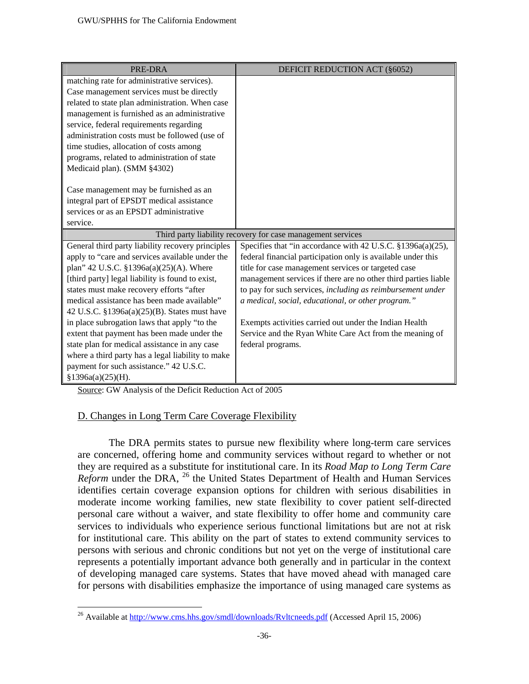| PRE-DRA                                           | DEFICIT REDUCTION ACT (§6052)                                  |
|---------------------------------------------------|----------------------------------------------------------------|
| matching rate for administrative services).       |                                                                |
| Case management services must be directly         |                                                                |
| related to state plan administration. When case   |                                                                |
| management is furnished as an administrative      |                                                                |
| service, federal requirements regarding           |                                                                |
| administration costs must be followed (use of     |                                                                |
| time studies, allocation of costs among           |                                                                |
| programs, related to administration of state      |                                                                |
| Medicaid plan). (SMM §4302)                       |                                                                |
|                                                   |                                                                |
| Case management may be furnished as an            |                                                                |
| integral part of EPSDT medical assistance         |                                                                |
| services or as an EPSDT administrative            |                                                                |
| service.                                          |                                                                |
|                                                   | Third party liability recovery for case management services    |
| General third party liability recovery principles | Specifies that "in accordance with 42 U.S.C. §1396a(a)(25),    |
| apply to "care and services available under the   | federal financial participation only is available under this   |
| plan" 42 U.S.C. §1396a(a)(25)(A). Where           | title for case management services or targeted case            |
| [third party] legal liability is found to exist,  | management services if there are no other third parties liable |
| states must make recovery efforts "after          | to pay for such services, including as reimbursement under     |
| medical assistance has been made available"       | a medical, social, educational, or other program."             |
| 42 U.S.C. §1396a(a)(25)(B). States must have      |                                                                |
| in place subrogation laws that apply "to the      | Exempts activities carried out under the Indian Health         |
| extent that payment has been made under the       | Service and the Ryan White Care Act from the meaning of        |
| state plan for medical assistance in any case     | federal programs.                                              |
| where a third party has a legal liability to make |                                                                |
| payment for such assistance." 42 U.S.C.           |                                                                |
| §1396a(a)(25)(H).                                 |                                                                |

Source: GW Analysis of the Deficit Reduction Act of 2005

<u>.</u>

## D. Changes in Long Term Care Coverage Flexibility

 The DRA permits states to pursue new flexibility where long-term care services are concerned, offering home and community services without regard to whether or not they are required as a substitute for institutional care. In its *Road Map to Long Term Care Reform* under the DRA, <sup>26</sup> the United States Department of Health and Human Services identifies certain coverage expansion options for children with serious disabilities in moderate income working families, new state flexibility to cover patient self-directed personal care without a waiver, and state flexibility to offer home and community care services to individuals who experience serious functional limitations but are not at risk for institutional care. This ability on the part of states to extend community services to persons with serious and chronic conditions but not yet on the verge of institutional care represents a potentially important advance both generally and in particular in the context of developing managed care systems. States that have moved ahead with managed care for persons with disabilities emphasize the importance of using managed care systems as

<sup>&</sup>lt;sup>26</sup> Available at http://www.cms.hhs.gov/smdl/downloads/Ryltcneeds.pdf (Accessed April 15, 2006)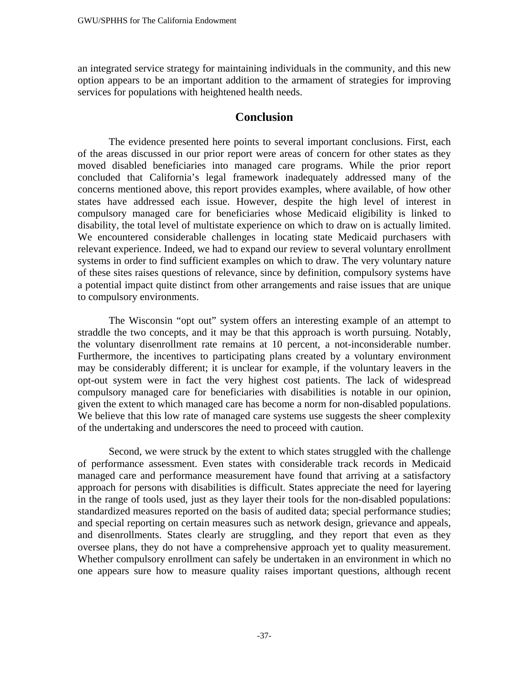an integrated service strategy for maintaining individuals in the community, and this new option appears to be an important addition to the armament of strategies for improving services for populations with heightened health needs.

## **Conclusion**

 The evidence presented here points to several important conclusions. First, each of the areas discussed in our prior report were areas of concern for other states as they moved disabled beneficiaries into managed care programs. While the prior report concluded that California's legal framework inadequately addressed many of the concerns mentioned above, this report provides examples, where available, of how other states have addressed each issue. However, despite the high level of interest in compulsory managed care for beneficiaries whose Medicaid eligibility is linked to disability, the total level of multistate experience on which to draw on is actually limited. We encountered considerable challenges in locating state Medicaid purchasers with relevant experience. Indeed, we had to expand our review to several voluntary enrollment systems in order to find sufficient examples on which to draw. The very voluntary nature of these sites raises questions of relevance, since by definition, compulsory systems have a potential impact quite distinct from other arrangements and raise issues that are unique to compulsory environments.

The Wisconsin "opt out" system offers an interesting example of an attempt to straddle the two concepts, and it may be that this approach is worth pursuing. Notably, the voluntary disenrollment rate remains at 10 percent, a not-inconsiderable number. Furthermore, the incentives to participating plans created by a voluntary environment may be considerably different; it is unclear for example, if the voluntary leavers in the opt-out system were in fact the very highest cost patients. The lack of widespread compulsory managed care for beneficiaries with disabilities is notable in our opinion, given the extent to which managed care has become a norm for non-disabled populations. We believe that this low rate of managed care systems use suggests the sheer complexity of the undertaking and underscores the need to proceed with caution.

Second, we were struck by the extent to which states struggled with the challenge of performance assessment. Even states with considerable track records in Medicaid managed care and performance measurement have found that arriving at a satisfactory approach for persons with disabilities is difficult. States appreciate the need for layering in the range of tools used, just as they layer their tools for the non-disabled populations: standardized measures reported on the basis of audited data; special performance studies; and special reporting on certain measures such as network design, grievance and appeals, and disenrollments. States clearly are struggling, and they report that even as they oversee plans, they do not have a comprehensive approach yet to quality measurement. Whether compulsory enrollment can safely be undertaken in an environment in which no one appears sure how to measure quality raises important questions, although recent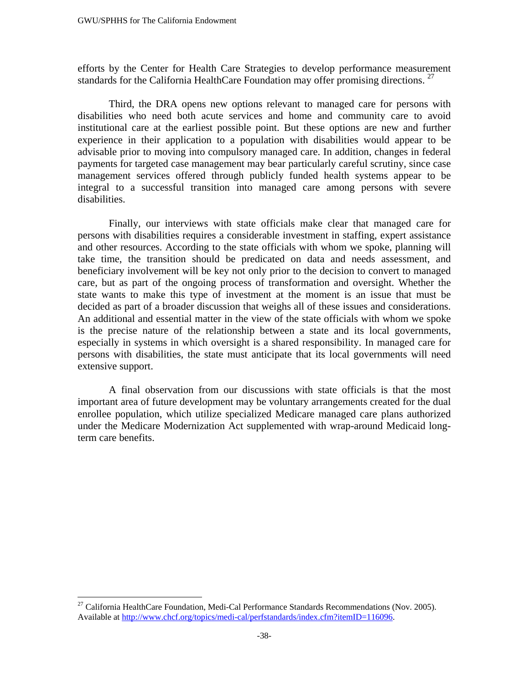efforts by the Center for Health Care Strategies to develop performance measurement standards for the California HealthCare Foundation may offer promising directions.  $27$ 

Third, the DRA opens new options relevant to managed care for persons with disabilities who need both acute services and home and community care to avoid institutional care at the earliest possible point. But these options are new and further experience in their application to a population with disabilities would appear to be advisable prior to moving into compulsory managed care. In addition, changes in federal payments for targeted case management may bear particularly careful scrutiny, since case management services offered through publicly funded health systems appear to be integral to a successful transition into managed care among persons with severe disabilities.

Finally, our interviews with state officials make clear that managed care for persons with disabilities requires a considerable investment in staffing, expert assistance and other resources. According to the state officials with whom we spoke, planning will take time, the transition should be predicated on data and needs assessment, and beneficiary involvement will be key not only prior to the decision to convert to managed care, but as part of the ongoing process of transformation and oversight. Whether the state wants to make this type of investment at the moment is an issue that must be decided as part of a broader discussion that weighs all of these issues and considerations. An additional and essential matter in the view of the state officials with whom we spoke is the precise nature of the relationship between a state and its local governments, especially in systems in which oversight is a shared responsibility. In managed care for persons with disabilities, the state must anticipate that its local governments will need extensive support.

 A final observation from our discussions with state officials is that the most important area of future development may be voluntary arrangements created for the dual enrollee population, which utilize specialized Medicare managed care plans authorized under the Medicare Modernization Act supplemented with wrap-around Medicaid longterm care benefits.

 $\overline{a}$ 

 $^{27}$  California HealthCare Foundation, Medi-Cal Performance Standards Recommendations (Nov. 2005). Available at http://www.chcf.org/topics/medi-cal/perfstandards/index.cfm?itemID=116096.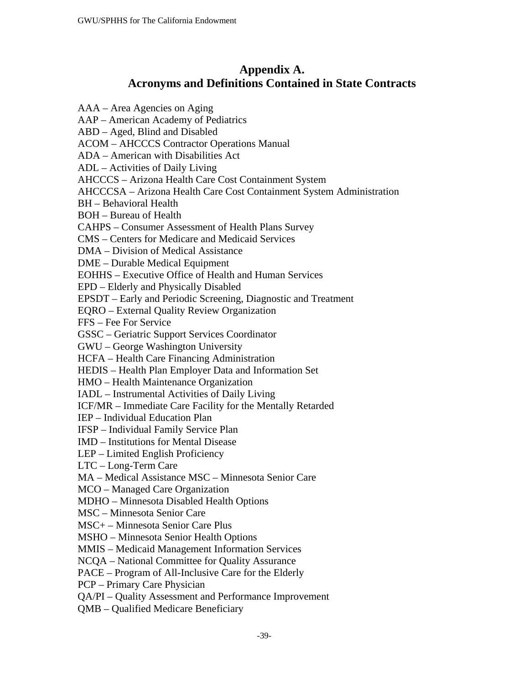# **Appendix A. Acronyms and Definitions Contained in State Contracts**

AAA – Area Agencies on Aging AAP – American Academy of Pediatrics ABD – Aged, Blind and Disabled ACOM – AHCCCS Contractor Operations Manual ADA – American with Disabilities Act ADL – Activities of Daily Living AHCCCS – Arizona Health Care Cost Containment System AHCCCSA – Arizona Health Care Cost Containment System Administration BH – Behavioral Health BOH – Bureau of Health CAHPS – Consumer Assessment of Health Plans Survey CMS – Centers for Medicare and Medicaid Services DMA – Division of Medical Assistance DME – Durable Medical Equipment EOHHS – Executive Office of Health and Human Services EPD – Elderly and Physically Disabled EPSDT – Early and Periodic Screening, Diagnostic and Treatment EQRO – External Quality Review Organization FFS – Fee For Service GSSC – Geriatric Support Services Coordinator GWU – George Washington University HCFA – Health Care Financing Administration HEDIS – Health Plan Employer Data and Information Set HMO – Health Maintenance Organization IADL – Instrumental Activities of Daily Living ICF/MR – Immediate Care Facility for the Mentally Retarded IEP – Individual Education Plan IFSP – Individual Family Service Plan IMD – Institutions for Mental Disease LEP – Limited English Proficiency LTC – Long-Term Care MA – Medical Assistance MSC – Minnesota Senior Care MCO – Managed Care Organization MDHO – Minnesota Disabled Health Options MSC – Minnesota Senior Care MSC+ – Minnesota Senior Care Plus MSHO – Minnesota Senior Health Options MMIS – Medicaid Management Information Services NCQA – National Committee for Quality Assurance PACE – Program of All-Inclusive Care for the Elderly PCP – Primary Care Physician QA/PI – Quality Assessment and Performance Improvement QMB – Qualified Medicare Beneficiary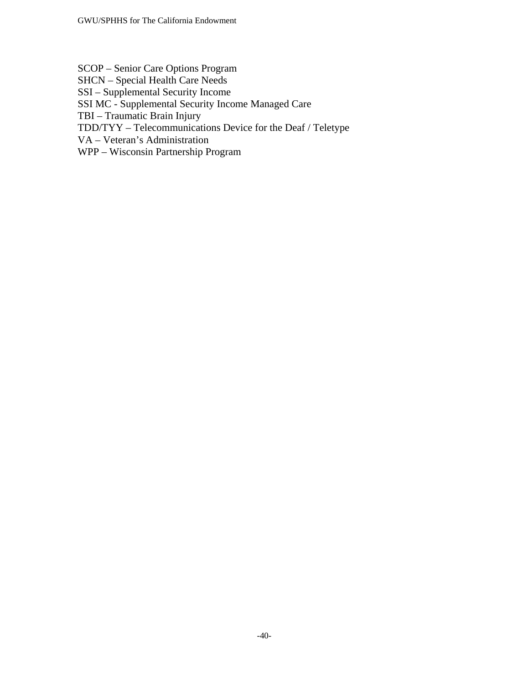SCOP – Senior Care Options Program SHCN – Special Health Care Needs SSI – Supplemental Security Income SSI MC - Supplemental Security Income Managed Care TBI – Traumatic Brain Injury TDD/TYY – Telecommunications Device for the Deaf / Teletype VA – Veteran's Administration

WPP – Wisconsin Partnership Program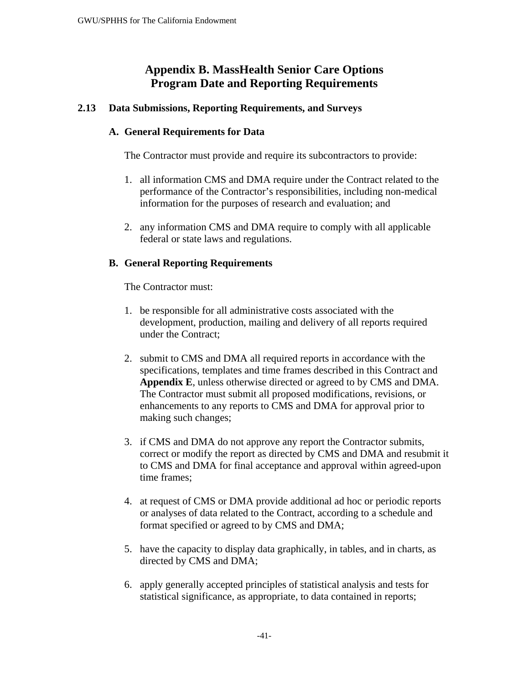# **Appendix B. MassHealth Senior Care Options Program Date and Reporting Requirements**

## **2.13 Data Submissions, Reporting Requirements, and Surveys**

#### **A. General Requirements for Data**

The Contractor must provide and require its subcontractors to provide:

- 1. all information CMS and DMA require under the Contract related to the performance of the Contractor's responsibilities, including non-medical information for the purposes of research and evaluation; and
- 2. any information CMS and DMA require to comply with all applicable federal or state laws and regulations.

## **B. General Reporting Requirements**

The Contractor must:

- 1. be responsible for all administrative costs associated with the development, production, mailing and delivery of all reports required under the Contract;
- 2. submit to CMS and DMA all required reports in accordance with the specifications, templates and time frames described in this Contract and **Appendix E**, unless otherwise directed or agreed to by CMS and DMA. The Contractor must submit all proposed modifications, revisions, or enhancements to any reports to CMS and DMA for approval prior to making such changes;
- 3. if CMS and DMA do not approve any report the Contractor submits, correct or modify the report as directed by CMS and DMA and resubmit it to CMS and DMA for final acceptance and approval within agreed-upon time frames;
- 4. at request of CMS or DMA provide additional ad hoc or periodic reports or analyses of data related to the Contract, according to a schedule and format specified or agreed to by CMS and DMA;
- 5. have the capacity to display data graphically, in tables, and in charts, as directed by CMS and DMA;
- 6. apply generally accepted principles of statistical analysis and tests for statistical significance, as appropriate, to data contained in reports;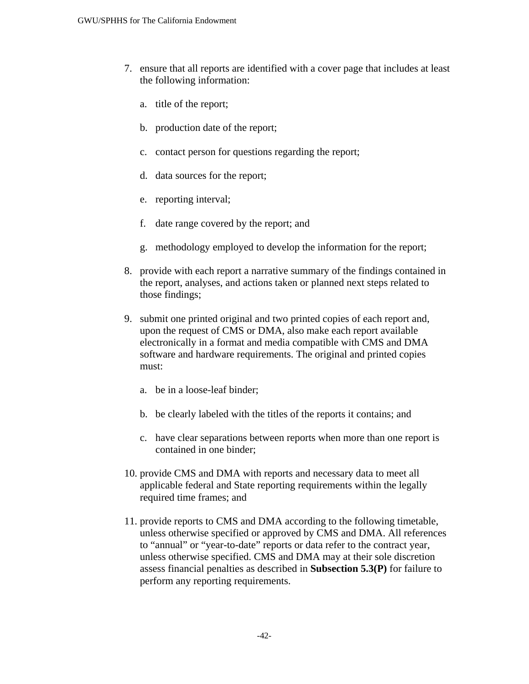- 7. ensure that all reports are identified with a cover page that includes at least the following information:
	- a. title of the report;
	- b. production date of the report;
	- c. contact person for questions regarding the report;
	- d. data sources for the report;
	- e. reporting interval;
	- f. date range covered by the report; and
	- g. methodology employed to develop the information for the report;
- 8. provide with each report a narrative summary of the findings contained in the report, analyses, and actions taken or planned next steps related to those findings;
- 9. submit one printed original and two printed copies of each report and, upon the request of CMS or DMA, also make each report available electronically in a format and media compatible with CMS and DMA software and hardware requirements. The original and printed copies must:
	- a. be in a loose-leaf binder;
	- b. be clearly labeled with the titles of the reports it contains; and
	- c. have clear separations between reports when more than one report is contained in one binder;
- 10. provide CMS and DMA with reports and necessary data to meet all applicable federal and State reporting requirements within the legally required time frames; and
- 11. provide reports to CMS and DMA according to the following timetable, unless otherwise specified or approved by CMS and DMA. All references to "annual" or "year-to-date" reports or data refer to the contract year, unless otherwise specified. CMS and DMA may at their sole discretion assess financial penalties as described in **Subsection 5.3(P)** for failure to perform any reporting requirements.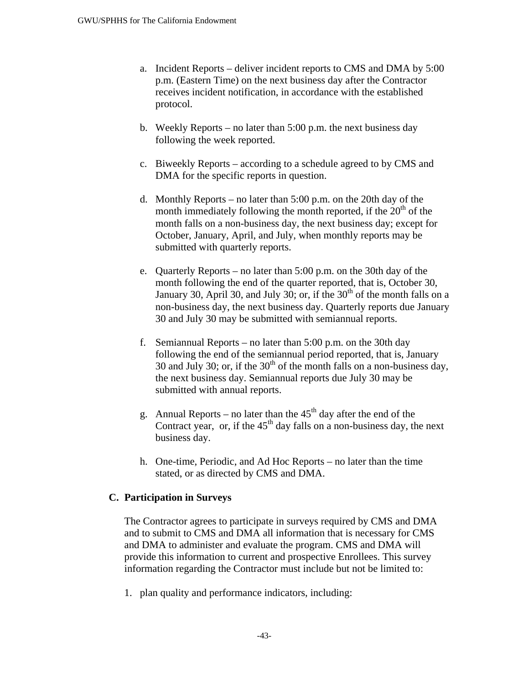- a. Incident Reports deliver incident reports to CMS and DMA by 5:00 p.m. (Eastern Time) on the next business day after the Contractor receives incident notification, in accordance with the established protocol.
- b. Weekly Reports no later than 5:00 p.m. the next business day following the week reported.
- c. Biweekly Reports according to a schedule agreed to by CMS and DMA for the specific reports in question.
- d. Monthly Reports no later than 5:00 p.m. on the 20th day of the month immediately following the month reported, if the  $20<sup>th</sup>$  of the month falls on a non-business day, the next business day; except for October, January, April, and July, when monthly reports may be submitted with quarterly reports.
- e. Quarterly Reports no later than 5:00 p.m. on the 30th day of the month following the end of the quarter reported, that is, October 30, January 30, April 30, and July 30; or, if the  $30<sup>th</sup>$  of the month falls on a non-business day, the next business day. Quarterly reports due January 30 and July 30 may be submitted with semiannual reports.
- f. Semiannual Reports no later than 5:00 p.m. on the 30th day following the end of the semiannual period reported, that is, January 30 and July 30; or, if the  $30<sup>th</sup>$  of the month falls on a non-business day, the next business day. Semiannual reports due July 30 may be submitted with annual reports.
- g. Annual Reports no later than the  $45<sup>th</sup>$  day after the end of the Contract year, or, if the  $45<sup>th</sup>$  day falls on a non-business day, the next business day.
- h. One-time, Periodic, and Ad Hoc Reports no later than the time stated, or as directed by CMS and DMA.

## **C. Participation in Surveys**

The Contractor agrees to participate in surveys required by CMS and DMA and to submit to CMS and DMA all information that is necessary for CMS and DMA to administer and evaluate the program. CMS and DMA will provide this information to current and prospective Enrollees. This survey information regarding the Contractor must include but not be limited to:

1. plan quality and performance indicators, including: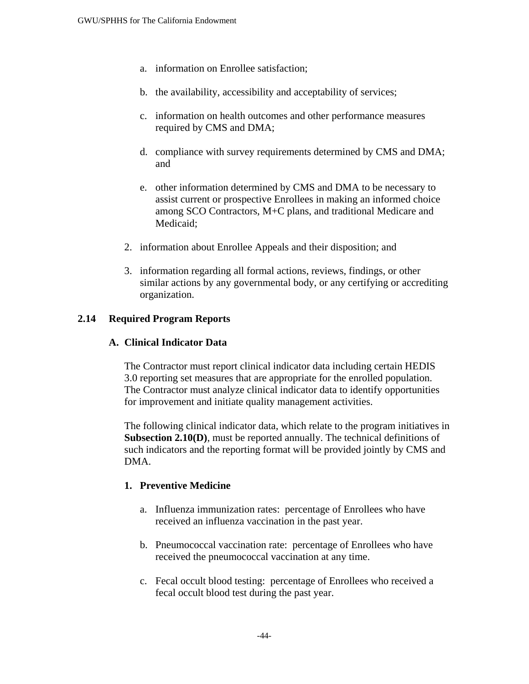- a. information on Enrollee satisfaction;
- b. the availability, accessibility and acceptability of services;
- c. information on health outcomes and other performance measures required by CMS and DMA;
- d. compliance with survey requirements determined by CMS and DMA; and
- e. other information determined by CMS and DMA to be necessary to assist current or prospective Enrollees in making an informed choice among SCO Contractors, M+C plans, and traditional Medicare and Medicaid;
- 2. information about Enrollee Appeals and their disposition; and
- 3. information regarding all formal actions, reviews, findings, or other similar actions by any governmental body, or any certifying or accrediting organization.

## **2.14 Required Program Reports**

## **A. Clinical Indicator Data**

The Contractor must report clinical indicator data including certain HEDIS 3.0 reporting set measures that are appropriate for the enrolled population. The Contractor must analyze clinical indicator data to identify opportunities for improvement and initiate quality management activities.

The following clinical indicator data, which relate to the program initiatives in **Subsection 2.10(D)**, must be reported annually. The technical definitions of such indicators and the reporting format will be provided jointly by CMS and DMA.

#### **1. Preventive Medicine**

- a. Influenza immunization rates: percentage of Enrollees who have received an influenza vaccination in the past year.
- b. Pneumococcal vaccination rate: percentage of Enrollees who have received the pneumococcal vaccination at any time.
- c. Fecal occult blood testing: percentage of Enrollees who received a fecal occult blood test during the past year.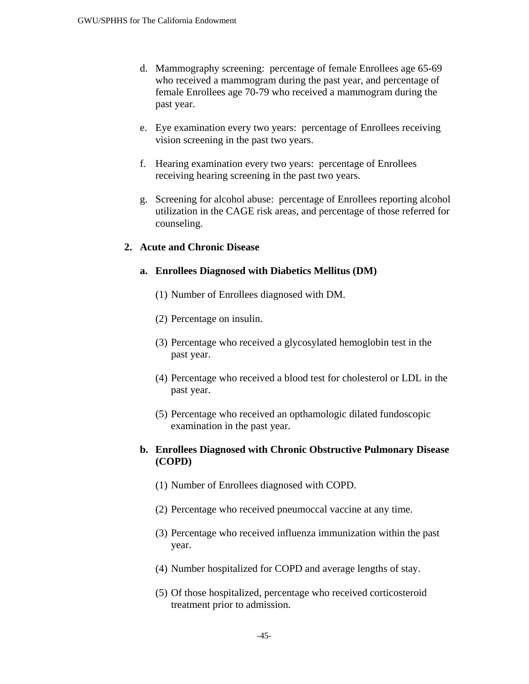- d. Mammography screening: percentage of female Enrollees age 65-69 who received a mammogram during the past year, and percentage of female Enrollees age 70-79 who received a mammogram during the past year.
- e. Eye examination every two years: percentage of Enrollees receiving vision screening in the past two years.
- f. Hearing examination every two years: percentage of Enrollees receiving hearing screening in the past two years.
- g. Screening for alcohol abuse: percentage of Enrollees reporting alcohol utilization in the CAGE risk areas, and percentage of those referred for counseling.

#### **2. Acute and Chronic Disease**

#### **a. Enrollees Diagnosed with Diabetics Mellitus (DM)**

- (1) Number of Enrollees diagnosed with DM.
- (2) Percentage on insulin.
- (3) Percentage who received a glycosylated hemoglobin test in the past year.
- (4) Percentage who received a blood test for cholesterol or LDL in the past year.
- (5) Percentage who received an opthamologic dilated fundoscopic examination in the past year.

### **b. Enrollees Diagnosed with Chronic Obstructive Pulmonary Disease (COPD)**

- (1) Number of Enrollees diagnosed with COPD.
- (2) Percentage who received pneumoccal vaccine at any time.
- (3) Percentage who received influenza immunization within the past year.
- (4) Number hospitalized for COPD and average lengths of stay.
- (5) Of those hospitalized, percentage who received corticosteroid treatment prior to admission.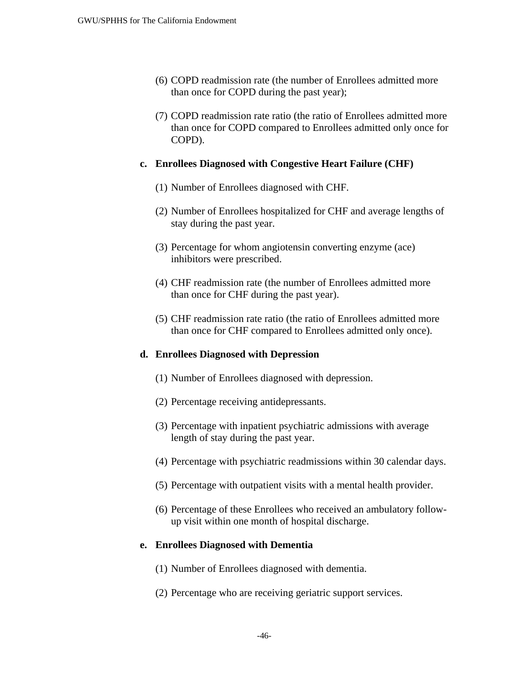- (6) COPD readmission rate (the number of Enrollees admitted more than once for COPD during the past year);
- (7) COPD readmission rate ratio (the ratio of Enrollees admitted more than once for COPD compared to Enrollees admitted only once for COPD).

#### **c. Enrollees Diagnosed with Congestive Heart Failure (CHF)**

- (1) Number of Enrollees diagnosed with CHF.
- (2) Number of Enrollees hospitalized for CHF and average lengths of stay during the past year.
- (3) Percentage for whom angiotensin converting enzyme (ace) inhibitors were prescribed.
- (4) CHF readmission rate (the number of Enrollees admitted more than once for CHF during the past year).
- (5) CHF readmission rate ratio (the ratio of Enrollees admitted more than once for CHF compared to Enrollees admitted only once).

#### **d. Enrollees Diagnosed with Depression**

- (1) Number of Enrollees diagnosed with depression.
- (2) Percentage receiving antidepressants.
- (3) Percentage with inpatient psychiatric admissions with average length of stay during the past year.
- (4) Percentage with psychiatric readmissions within 30 calendar days.
- (5) Percentage with outpatient visits with a mental health provider.
- (6) Percentage of these Enrollees who received an ambulatory followup visit within one month of hospital discharge.

#### **e. Enrollees Diagnosed with Dementia**

- (1) Number of Enrollees diagnosed with dementia.
- (2) Percentage who are receiving geriatric support services.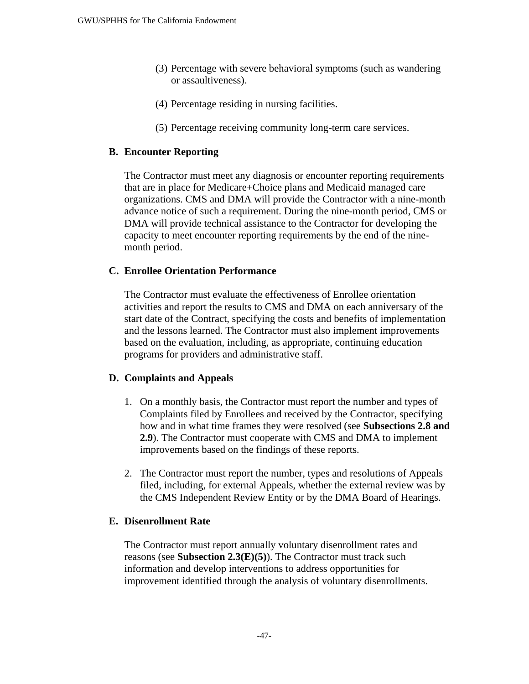- (3) Percentage with severe behavioral symptoms (such as wandering or assaultiveness).
- (4) Percentage residing in nursing facilities.
- (5) Percentage receiving community long-term care services.

## **B. Encounter Reporting**

The Contractor must meet any diagnosis or encounter reporting requirements that are in place for Medicare+Choice plans and Medicaid managed care organizations. CMS and DMA will provide the Contractor with a nine-month advance notice of such a requirement. During the nine-month period, CMS or DMA will provide technical assistance to the Contractor for developing the capacity to meet encounter reporting requirements by the end of the ninemonth period.

## **C. Enrollee Orientation Performance**

The Contractor must evaluate the effectiveness of Enrollee orientation activities and report the results to CMS and DMA on each anniversary of the start date of the Contract, specifying the costs and benefits of implementation and the lessons learned. The Contractor must also implement improvements based on the evaluation, including, as appropriate, continuing education programs for providers and administrative staff.

## **D. Complaints and Appeals**

- 1. On a monthly basis, the Contractor must report the number and types of Complaints filed by Enrollees and received by the Contractor, specifying how and in what time frames they were resolved (see **Subsections 2.8 and 2.9**). The Contractor must cooperate with CMS and DMA to implement improvements based on the findings of these reports.
- 2. The Contractor must report the number, types and resolutions of Appeals filed, including, for external Appeals, whether the external review was by the CMS Independent Review Entity or by the DMA Board of Hearings.

## **E. Disenrollment Rate**

The Contractor must report annually voluntary disenrollment rates and reasons (see **Subsection 2.3(E)(5)**). The Contractor must track such information and develop interventions to address opportunities for improvement identified through the analysis of voluntary disenrollments.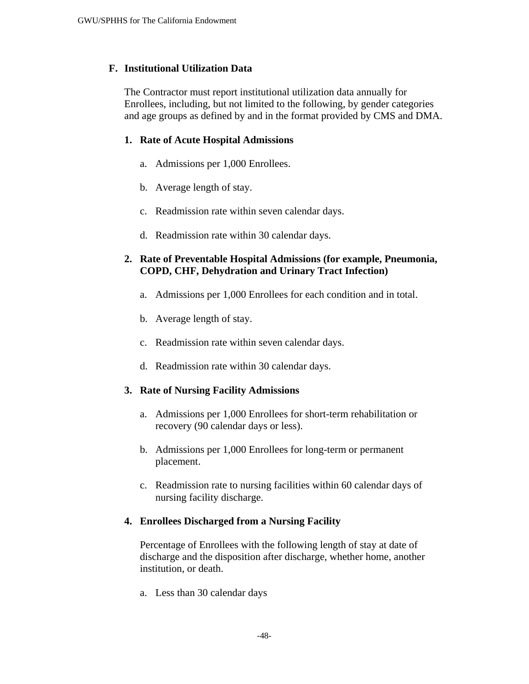#### **F. Institutional Utilization Data**

The Contractor must report institutional utilization data annually for Enrollees, including, but not limited to the following, by gender categories and age groups as defined by and in the format provided by CMS and DMA.

#### **1. Rate of Acute Hospital Admissions**

- a. Admissions per 1,000 Enrollees.
- b. Average length of stay.
- c. Readmission rate within seven calendar days.
- d. Readmission rate within 30 calendar days.

## **2. Rate of Preventable Hospital Admissions (for example, Pneumonia, COPD, CHF, Dehydration and Urinary Tract Infection)**

- a. Admissions per 1,000 Enrollees for each condition and in total.
- b. Average length of stay.
- c. Readmission rate within seven calendar days.
- d. Readmission rate within 30 calendar days.

#### **3. Rate of Nursing Facility Admissions**

- a. Admissions per 1,000 Enrollees for short-term rehabilitation or recovery (90 calendar days or less).
- b. Admissions per 1,000 Enrollees for long-term or permanent placement.
- c. Readmission rate to nursing facilities within 60 calendar days of nursing facility discharge.

#### **4. Enrollees Discharged from a Nursing Facility**

Percentage of Enrollees with the following length of stay at date of discharge and the disposition after discharge, whether home, another institution, or death.

a. Less than 30 calendar days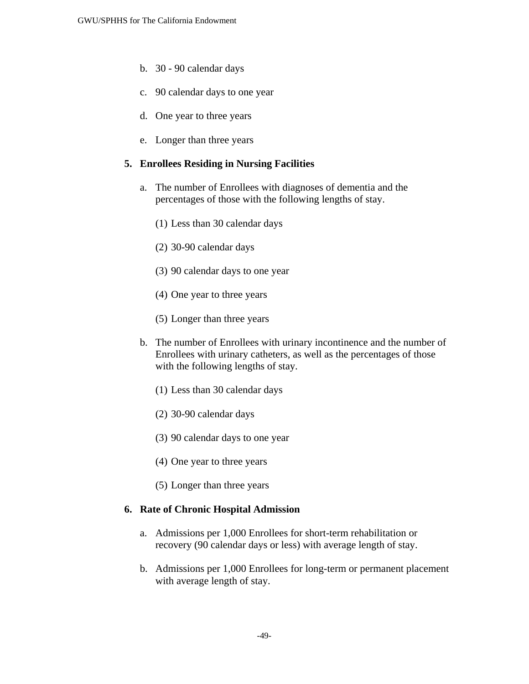- b. 30 90 calendar days
- c. 90 calendar days to one year
- d. One year to three years
- e. Longer than three years

## **5. Enrollees Residing in Nursing Facilities**

- a. The number of Enrollees with diagnoses of dementia and the percentages of those with the following lengths of stay.
	- (1) Less than 30 calendar days
	- (2) 30-90 calendar days
	- (3) 90 calendar days to one year
	- (4) One year to three years
	- (5) Longer than three years
- b. The number of Enrollees with urinary incontinence and the number of Enrollees with urinary catheters, as well as the percentages of those with the following lengths of stay.
	- (1) Less than 30 calendar days
	- (2) 30-90 calendar days
	- (3) 90 calendar days to one year
	- (4) One year to three years
	- (5) Longer than three years

#### **6. Rate of Chronic Hospital Admission**

- a. Admissions per 1,000 Enrollees for short-term rehabilitation or recovery (90 calendar days or less) with average length of stay.
- b. Admissions per 1,000 Enrollees for long-term or permanent placement with average length of stay.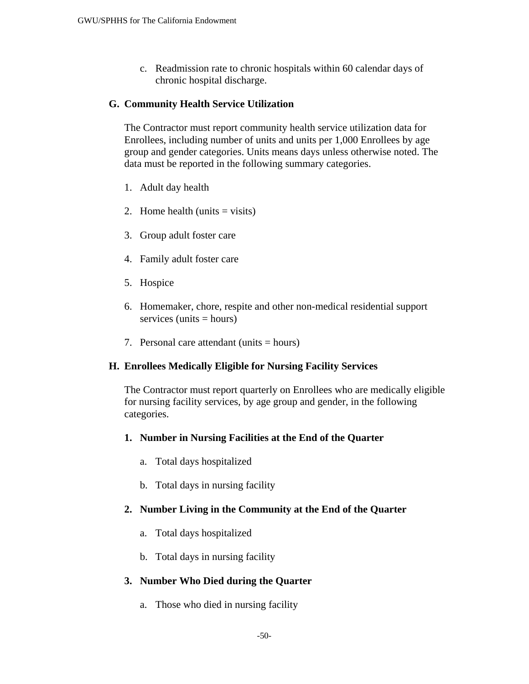c. Readmission rate to chronic hospitals within 60 calendar days of chronic hospital discharge.

#### **G. Community Health Service Utilization**

The Contractor must report community health service utilization data for Enrollees, including number of units and units per 1,000 Enrollees by age group and gender categories. Units means days unless otherwise noted. The data must be reported in the following summary categories.

- 1. Adult day health
- 2. Home health (units  $=$  visits)
- 3. Group adult foster care
- 4. Family adult foster care
- 5. Hospice
- 6. Homemaker, chore, respite and other non-medical residential support  $s$ ervices (units  $=$  hours)
- 7. Personal care attendant (units  $=$  hours)

#### **H. Enrollees Medically Eligible for Nursing Facility Services**

The Contractor must report quarterly on Enrollees who are medically eligible for nursing facility services, by age group and gender, in the following categories.

#### **1. Number in Nursing Facilities at the End of the Quarter**

- a. Total days hospitalized
- b. Total days in nursing facility

#### **2. Number Living in the Community at the End of the Quarter**

- a. Total days hospitalized
- b. Total days in nursing facility

#### **3. Number Who Died during the Quarter**

a. Those who died in nursing facility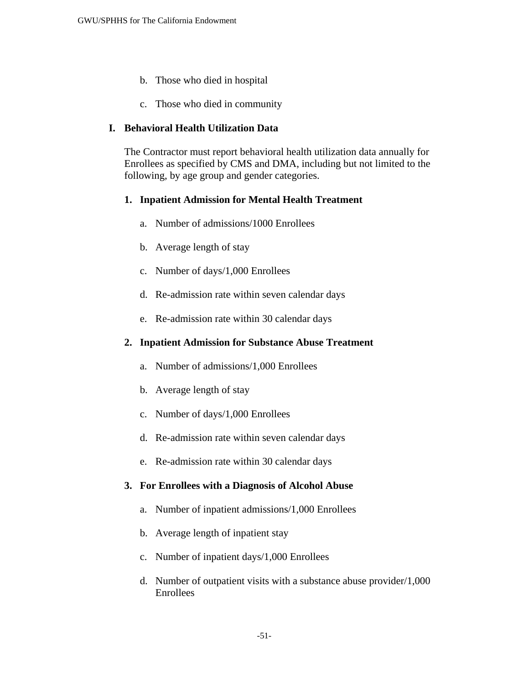- b. Those who died in hospital
- c. Those who died in community

## **I. Behavioral Health Utilization Data**

The Contractor must report behavioral health utilization data annually for Enrollees as specified by CMS and DMA, including but not limited to the following, by age group and gender categories.

### **1. Inpatient Admission for Mental Health Treatment**

- a. Number of admissions/1000 Enrollees
- b. Average length of stay
- c. Number of days/1,000 Enrollees
- d. Re-admission rate within seven calendar days
- e. Re-admission rate within 30 calendar days

## **2. Inpatient Admission for Substance Abuse Treatment**

- a. Number of admissions/1,000 Enrollees
- b. Average length of stay
- c. Number of days/1,000 Enrollees
- d. Re-admission rate within seven calendar days
- e. Re-admission rate within 30 calendar days

#### **3. For Enrollees with a Diagnosis of Alcohol Abuse**

- a. Number of inpatient admissions/1,000 Enrollees
- b. Average length of inpatient stay
- c. Number of inpatient days/1,000 Enrollees
- d. Number of outpatient visits with a substance abuse provider/1,000 Enrollees